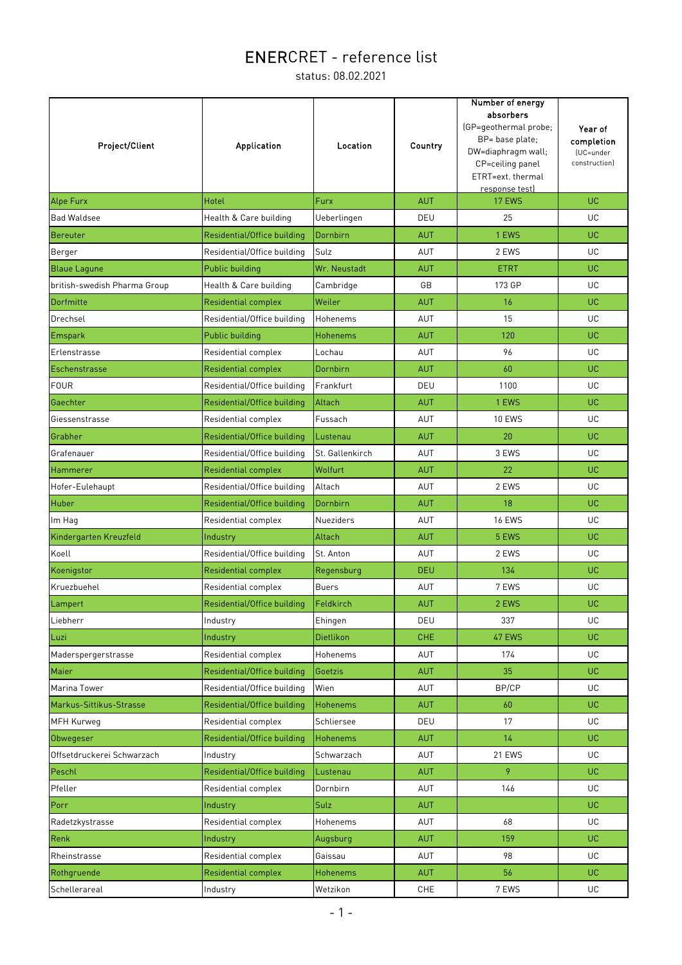| Project/Client               | <b>Application</b>          | Location        | Country    | Number of energy<br>absorbers<br>(GP=geothermal probe;<br>BP= base plate;<br>DW=diaphragm wall;<br>CP=ceiling panel<br>ETRT=ext. thermal<br>response test) | Year of<br>completion<br>(UC=under<br>construction) |
|------------------------------|-----------------------------|-----------------|------------|------------------------------------------------------------------------------------------------------------------------------------------------------------|-----------------------------------------------------|
| <b>Alpe Furx</b>             | Hotel                       | Furx            | <b>AUT</b> | 17 EWS                                                                                                                                                     | UC.                                                 |
| <b>Bad Waldsee</b>           | Health & Care building      | Ueberlingen     | DEU        | 25                                                                                                                                                         | UC.                                                 |
| Bereuter                     | Residential/Office building | Dornbirn        | <b>AUT</b> | 1 EWS                                                                                                                                                      | UC                                                  |
| Berger                       | Residential/Office building | Sulz            | AUT        | 2 EWS                                                                                                                                                      | UC                                                  |
| <b>Blaue Lagune</b>          | Public building             | Wr. Neustadt    | <b>AUT</b> | <b>ETRT</b>                                                                                                                                                | UC                                                  |
| british-swedish Pharma Group | Health & Care building      | Cambridge       | GB         | 173 GP                                                                                                                                                     | UC.                                                 |
| Dorfmitte                    | <b>Residential complex</b>  | Weiler          | <b>AUT</b> | 16                                                                                                                                                         | <b>UC</b>                                           |
| Drechsel                     | Residential/Office building | Hohenems        | <b>AUT</b> | 15                                                                                                                                                         | UC                                                  |
| <b>Emspark</b>               | Public building             | <b>Hohenems</b> | <b>AUT</b> | 120                                                                                                                                                        | UC                                                  |
| Erlenstrasse                 | Residential complex         | Lochau          | AUT        | 96                                                                                                                                                         | UC                                                  |
| Eschenstrasse                | <b>Residential complex</b>  | Dornbirn        | <b>AUT</b> | 60                                                                                                                                                         | <b>UC</b>                                           |
| <b>FOUR</b>                  | Residential/Office building | Frankfurt       | DEU        | 1100                                                                                                                                                       | UC                                                  |
| Gaechter                     | Residential/Office building | Altach          | <b>AUT</b> | 1 EWS                                                                                                                                                      | UC                                                  |
| Giessenstrasse               | Residential complex         | Fussach         | <b>AUT</b> | <b>10 EWS</b>                                                                                                                                              | UC                                                  |
| Grabher                      | Residential/Office building | Lustenau        | <b>AUT</b> | 20                                                                                                                                                         | UC.                                                 |
| Grafenauer                   | Residential/Office building | St. Gallenkirch | AUT        | 3 EWS                                                                                                                                                      | UC                                                  |
| Hammerer                     | <b>Residential complex</b>  | Wolfurt         | <b>AUT</b> | 22                                                                                                                                                         | <b>UC</b>                                           |
| Hofer-Eulehaupt              | Residential/Office building | Altach          | AUT        | 2 EWS                                                                                                                                                      | UC.                                                 |
| Huber                        | Residential/Office building | Dornbirn        | <b>AUT</b> | 18                                                                                                                                                         | <b>UC</b>                                           |
| Im Hag                       | Residential complex         | Nueziders       | AUT        | <b>16 EWS</b>                                                                                                                                              | UC.                                                 |
| Kindergarten Kreuzfeld       | Industry                    | Altach          | <b>AUT</b> | 5 EWS                                                                                                                                                      | UC                                                  |
| Koell                        | Residential/Office building | St. Anton       | AUT        | 2 EWS                                                                                                                                                      | UC                                                  |
| Koenigstor                   | <b>Residential complex</b>  | Regensburg      | <b>DEU</b> | 134                                                                                                                                                        | UC.                                                 |
| Kruezbuehel                  | Residential complex         | <b>Buers</b>    | AUT        | 7 EWS                                                                                                                                                      | UC                                                  |
| Lampert                      | Residential/Office building | Feldkirch       | <b>AUT</b> | 2 EWS                                                                                                                                                      | UC                                                  |
| Liebherr                     | Industry                    | Ehingen         | DEU        | 337                                                                                                                                                        | UC                                                  |
| Luzi                         | Industry                    | Dietlikon       | CHE        | 47 EWS                                                                                                                                                     | UC.                                                 |
| Maderspergerstrasse          | Residential complex         | Hohenems        | AUT        | 174                                                                                                                                                        | UC                                                  |
| <b>Maier</b>                 | Residential/Office building | Goetzis         | <b>AUT</b> | 35                                                                                                                                                         | UC.                                                 |
| Marina Tower                 | Residential/Office building | Wien            | AUT        | BP/CP                                                                                                                                                      | UC.                                                 |
| Markus-Sittikus-Strasse      | Residential/Office building | <b>Hohenems</b> | <b>AUT</b> | 60                                                                                                                                                         | UC.                                                 |
| <b>MFH Kurweg</b>            | Residential complex         | Schliersee      | DEU        | 17                                                                                                                                                         | UC                                                  |
| Obwegeser                    | Residential/Office building | <b>Hohenems</b> | <b>AUT</b> | 14                                                                                                                                                         | UC.                                                 |
| Offsetdruckerei Schwarzach   | Industry                    | Schwarzach      | AUT        | 21 EWS                                                                                                                                                     | UC.                                                 |
| Peschl                       | Residential/Office building | Lustenau        | <b>AUT</b> | 9                                                                                                                                                          | UC.                                                 |
| Pfeller                      | Residential complex         | Dornbirn        | AUT        | 146                                                                                                                                                        | UC                                                  |
| Porr                         | Industry                    | Sulz            | <b>AUT</b> |                                                                                                                                                            | UC.                                                 |
| Radetzkystrasse              | Residential complex         | Hohenems        | AUT        | 68                                                                                                                                                         | UC.                                                 |
| Renk                         | Industry                    | Augsburg        | <b>AUT</b> | 159                                                                                                                                                        | UC.                                                 |
| Rheinstrasse                 | Residential complex         | Gaissau         | AUT        | 98                                                                                                                                                         | UC                                                  |
| Rothgruende                  | <b>Residential complex</b>  | Hohenems        | <b>AUT</b> | 56                                                                                                                                                         | <b>UC</b>                                           |
| Schellerareal                | Industry                    | Wetzikon        | CHE        | 7 EWS                                                                                                                                                      | UC                                                  |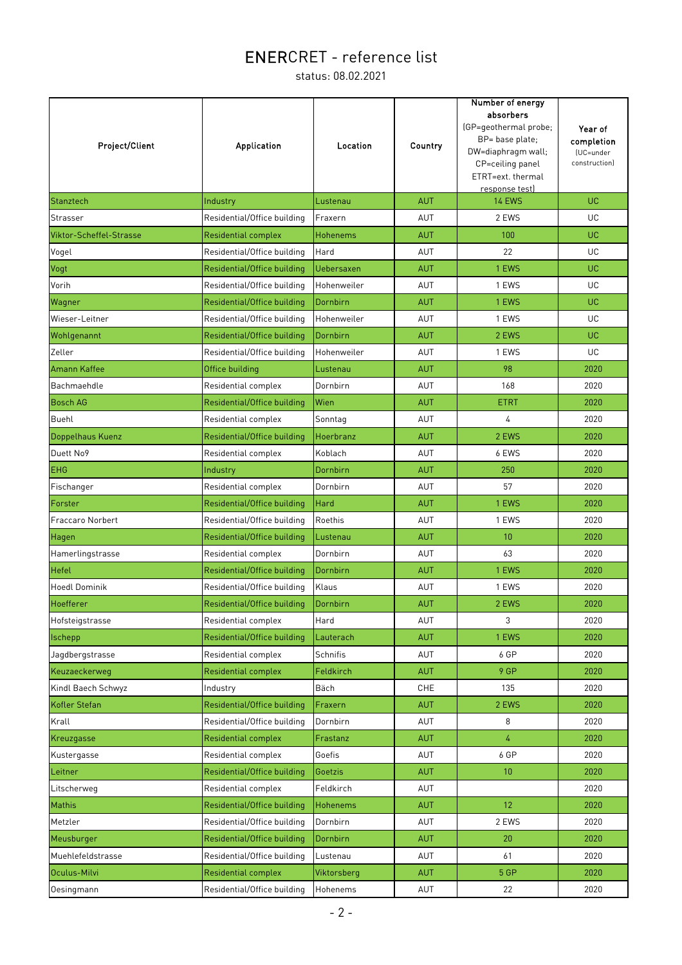| response test)<br>UC<br><b>AUT</b><br><b>14 EWS</b><br>Stanztech<br>Industry<br>Lustenau<br>Strasser<br>Residential/Office building<br>Fraxern<br>AUT<br>2 EWS<br>UC<br>UC<br>Viktor-Scheffel-Strasse<br><b>Residential complex</b><br>Hohenems<br><b>AUT</b><br>100<br>Residential/Office building<br>Hard<br>AUT<br>22<br>UC<br>Vogel<br>UC<br><b>AUT</b><br>1 EWS<br>Vogt<br>Residential/Office building<br><b>Uebersaxen</b> |
|----------------------------------------------------------------------------------------------------------------------------------------------------------------------------------------------------------------------------------------------------------------------------------------------------------------------------------------------------------------------------------------------------------------------------------|
|                                                                                                                                                                                                                                                                                                                                                                                                                                  |
|                                                                                                                                                                                                                                                                                                                                                                                                                                  |
|                                                                                                                                                                                                                                                                                                                                                                                                                                  |
|                                                                                                                                                                                                                                                                                                                                                                                                                                  |
|                                                                                                                                                                                                                                                                                                                                                                                                                                  |
| Vorih<br>Residential/Office building<br>Hohenweiler<br>AUT<br>1 EWS<br>UC                                                                                                                                                                                                                                                                                                                                                        |
| Residential/Office building<br>Dornbirn<br>1 EWS<br>UC<br>Wagner<br><b>AUT</b>                                                                                                                                                                                                                                                                                                                                                   |
| Hohenweiler<br>1 EWS<br>UC<br>Wieser-Leitner<br>Residential/Office building<br>AUT                                                                                                                                                                                                                                                                                                                                               |
| Wohlgenannt<br>Residential/Office building<br>Dornbirn<br><b>AUT</b><br>2 EWS<br>UC                                                                                                                                                                                                                                                                                                                                              |
| UC<br>Hohenweiler<br>AUT<br>1 EWS<br>Zeller<br>Residential/Office building                                                                                                                                                                                                                                                                                                                                                       |
| Amann Kaffee<br>Office building<br><b>AUT</b><br>98<br>2020<br>Lustenau                                                                                                                                                                                                                                                                                                                                                          |
| 168<br>Dornbirn<br>AUT<br>Bachmaehdle<br>Residential complex<br>2020                                                                                                                                                                                                                                                                                                                                                             |
| <b>Bosch AG</b><br>Residential/Office building<br>Wien<br><b>AUT</b><br>2020<br>ETRT                                                                                                                                                                                                                                                                                                                                             |
| 4<br>Buehl<br>Residential complex<br>Sonntag<br>AUT<br>2020                                                                                                                                                                                                                                                                                                                                                                      |
| Doppelhaus Kuenz<br>Residential/Office building<br>Hoerbranz<br><b>AUT</b><br>2 EWS<br>2020                                                                                                                                                                                                                                                                                                                                      |
| Duett No9<br>Residential complex<br>Koblach<br>6 EWS<br>2020<br>AUT                                                                                                                                                                                                                                                                                                                                                              |
| <b>EHG</b><br>Dornbirn<br>AUT<br>250<br>2020<br>Industry                                                                                                                                                                                                                                                                                                                                                                         |
| Residential complex<br>Dornbirn<br>AUT<br>57<br>2020<br>Fischanger                                                                                                                                                                                                                                                                                                                                                               |
| Residential/Office building<br>Hard<br><b>AUT</b><br>1 EWS<br>2020<br>Forster                                                                                                                                                                                                                                                                                                                                                    |
| Fraccaro Norbert<br>Residential/Office building<br>Roethis<br>1 EWS<br>2020<br>AUT                                                                                                                                                                                                                                                                                                                                               |
| Residential/Office building<br><b>AUT</b><br>10<br>2020<br>Lustenau<br>Hagen                                                                                                                                                                                                                                                                                                                                                     |
| 63<br>Residential complex<br>Dornbirn<br>AUT<br>2020<br>Hamerlingstrasse                                                                                                                                                                                                                                                                                                                                                         |
| Residential/Office building<br>Dornbirn<br>1 EWS<br>2020<br>Hefel<br><b>AUT</b>                                                                                                                                                                                                                                                                                                                                                  |
| <b>Hoedl Dominik</b><br>Klaus<br>1 EWS<br>Residential/Office building<br>AUT<br>2020                                                                                                                                                                                                                                                                                                                                             |
| Dornbirn<br><b>AUT</b><br>2 EWS<br>2020<br>Hoefferer<br>Residential/Office building                                                                                                                                                                                                                                                                                                                                              |
| 3<br>Residential complex<br>Hard<br>AUT<br>2020<br>Hofsteigstrasse                                                                                                                                                                                                                                                                                                                                                               |
| Ischepp<br>Residential/Office building<br>Lauterach<br><b>AUT</b><br>1 EWS<br>2020                                                                                                                                                                                                                                                                                                                                               |
| Jagdbergstrasse<br>Residential complex<br>Schnifis<br>AUT<br>6 GP<br>2020                                                                                                                                                                                                                                                                                                                                                        |
| 9 GP<br>Keuzaeckerweg<br>Feldkirch<br><b>AUT</b><br>2020<br><b>Residential complex</b>                                                                                                                                                                                                                                                                                                                                           |
| Kindl Baech Schwyz<br>Bäch<br>CHE<br>135<br>2020<br>Industry                                                                                                                                                                                                                                                                                                                                                                     |
| Kofler Stefan<br>Residential/Office building<br>Fraxern<br><b>AUT</b><br>2 EWS<br>2020                                                                                                                                                                                                                                                                                                                                           |
| Residential/Office building<br>Dornbirn<br>AUT<br>8<br>2020<br>Krall                                                                                                                                                                                                                                                                                                                                                             |
| 4<br>Kreuzgasse<br>2020<br><b>Residential complex</b><br>Frastanz<br><b>AUT</b>                                                                                                                                                                                                                                                                                                                                                  |
| 6 GP<br>Goefis<br>AUT<br>2020<br>Kustergasse<br>Residential complex                                                                                                                                                                                                                                                                                                                                                              |
| Residential/Office building<br><b>AUT</b><br>10<br>2020<br>Leitner<br>Goetzis                                                                                                                                                                                                                                                                                                                                                    |
| Residential complex<br>Feldkirch<br>AUT<br>2020<br>Litscherweg                                                                                                                                                                                                                                                                                                                                                                   |
| 12<br>Hohenems<br>Mathis<br>Residential/Office building<br><b>AUT</b><br>2020                                                                                                                                                                                                                                                                                                                                                    |
| Dornbirn<br>AUT<br>2 EWS<br>2020<br>Metzler<br>Residential/Office building                                                                                                                                                                                                                                                                                                                                                       |
| Residential/Office building<br>Dornbirn<br>AUT<br>20<br>2020<br>Meusburger                                                                                                                                                                                                                                                                                                                                                       |
| AUT<br>61<br>2020<br>Muehlefeldstrasse<br>Residential/Office building<br>Lustenau                                                                                                                                                                                                                                                                                                                                                |
| Oculus-Milvi<br>5 GP<br>2020<br>Residential complex<br>Viktorsberg<br><b>AUT</b>                                                                                                                                                                                                                                                                                                                                                 |
| Oesingmann<br>Residential/Office building<br>Hohenems<br>AUT<br>22<br>2020                                                                                                                                                                                                                                                                                                                                                       |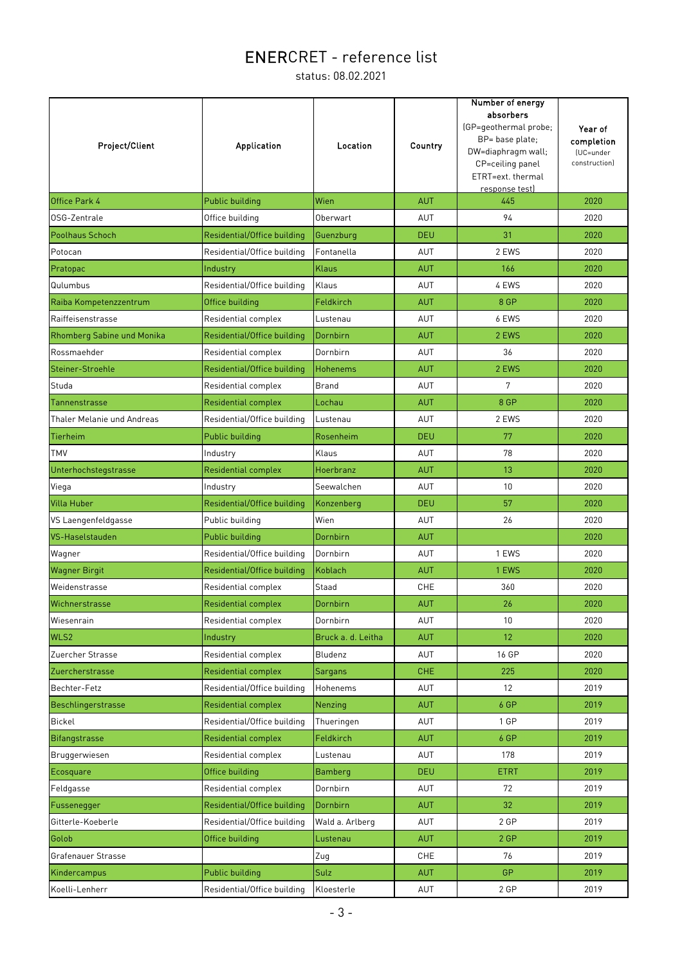| Project/Client             | Application                 | Location           | Country    | Number of energy<br>absorbers<br>(GP=geothermal probe;<br>BP= base plate;<br>DW=diaphragm wall;<br>CP=ceiling panel<br>ETRT=ext. thermal<br>response test) | Year of<br>completion<br>(UC=under<br>constructionl |
|----------------------------|-----------------------------|--------------------|------------|------------------------------------------------------------------------------------------------------------------------------------------------------------|-----------------------------------------------------|
| <b>Office Park 4</b>       | Public building             | Wien               | <b>AUT</b> | 445                                                                                                                                                        | 2020                                                |
| OSG-Zentrale               | Office building             | Oberwart           | AUT        | 94                                                                                                                                                         | 2020                                                |
| Poolhaus Schoch            | Residential/Office building | Guenzburg          | <b>DEU</b> | 31                                                                                                                                                         | 2020                                                |
| Potocan                    | Residential/Office building | Fontanella         | AUT        | 2 EWS                                                                                                                                                      | 2020                                                |
| Pratopac                   | Industry                    | <b>Klaus</b>       | <b>AUT</b> | 166                                                                                                                                                        | 2020                                                |
| Qulumbus                   | Residential/Office building | Klaus              | AUT        | 4 EWS                                                                                                                                                      | 2020                                                |
| Raiba Kompetenzzentrum     | Office building             | Feldkirch          | <b>AUT</b> | 8 GP                                                                                                                                                       | 2020                                                |
| Raiffeisenstrasse          | Residential complex         | Lustenau           | AUT        | 6 EWS                                                                                                                                                      | 2020                                                |
| Rhomberg Sabine und Monika | Residential/Office building | Dornbirn           | <b>AUT</b> | 2 EWS                                                                                                                                                      | 2020                                                |
| Rossmaehder                | Residential complex         | Dornbirn           | <b>AUT</b> | 36                                                                                                                                                         | 2020                                                |
| Steiner-Stroehle           | Residential/Office building | <b>Hohenems</b>    | <b>AUT</b> | 2 EWS                                                                                                                                                      | 2020                                                |
| Studa                      | Residential complex         | <b>Brand</b>       | <b>AUT</b> | 7                                                                                                                                                          | 2020                                                |
| Tannenstrasse              | Residential complex         | Lochau             | <b>AUT</b> | 8 GP                                                                                                                                                       | 2020                                                |
| Thaler Melanie und Andreas | Residential/Office building | Lustenau           | AUT        | 2 EWS                                                                                                                                                      | 2020                                                |
| Tierheim                   | Public building             | Rosenheim          | <b>DEU</b> | 77                                                                                                                                                         | 2020                                                |
| <b>TMV</b>                 | Industry                    | Klaus              | AUT        | 78                                                                                                                                                         | 2020                                                |
| Unterhochstegstrasse       | Residential complex         | Hoerbranz          | <b>AUT</b> | 13                                                                                                                                                         | 2020                                                |
| Viega                      | Industry                    | Seewalchen         | AUT        | 10                                                                                                                                                         | 2020                                                |
| <b>Villa Huber</b>         | Residential/Office building | Konzenberg         | <b>DEU</b> | 57                                                                                                                                                         | 2020                                                |
| VS Laengenfeldgasse        | Public building             | Wien               | AUT        | 26                                                                                                                                                         | 2020                                                |
| VS-Haselstauden            | Public building             | Dornbirn           | <b>AUT</b> |                                                                                                                                                            | 2020                                                |
| Wagner                     | Residential/Office building | Dornbirn           | AUT        | 1 EWS                                                                                                                                                      | 2020                                                |
| <b>Wagner Birgit</b>       | Residential/Office building | Koblach            | <b>AUT</b> | 1 EWS                                                                                                                                                      | 2020                                                |
| Weidenstrasse              | Residential complex         | Staad              | <b>CHE</b> | 360                                                                                                                                                        | 2020                                                |
| Wichnerstrasse             | <b>Residential complex</b>  | Dornbirn           | <b>AUT</b> | 26                                                                                                                                                         | 2020                                                |
| Wiesenrain                 | Residential complex         | Dornbirn           | AUT        | 10 <sup>1</sup>                                                                                                                                            | 2020                                                |
| WLS2                       | Industry                    | Bruck a. d. Leitha | <b>AUT</b> | 12 <sup>2</sup>                                                                                                                                            | 2020                                                |
| Zuercher Strasse           | Residential complex         | Bludenz            | AUT        | 16 GP                                                                                                                                                      | 2020                                                |
| Zuercherstrasse            | <b>Residential complex</b>  | Sargans            | <b>CHE</b> | 225                                                                                                                                                        | 2020                                                |
| Bechter-Fetz               | Residential/Office building | Hohenems           | AUT        | 12                                                                                                                                                         | 2019                                                |
| Beschlingerstrasse         | <b>Residential complex</b>  | Nenzing            | <b>AUT</b> | 6 GP                                                                                                                                                       | 2019                                                |
| Bickel                     | Residential/Office building | Thueringen         | AUT        | 1 GP                                                                                                                                                       | 2019                                                |
| Bifangstrasse              | <b>Residential complex</b>  | Feldkirch          | <b>AUT</b> | 6 GP                                                                                                                                                       | 2019                                                |
| Bruggerwiesen              | Residential complex         | Lustenau           | AUT        | 178                                                                                                                                                        | 2019                                                |
| Ecosquare                  | Office building             | <b>Bamberg</b>     | <b>DEU</b> | <b>ETRT</b>                                                                                                                                                | 2019                                                |
| Feldgasse                  | Residential complex         | Dornbirn           | AUT        | 72                                                                                                                                                         | 2019                                                |
| Fussenegger                | Residential/Office building | Dornbirn           | <b>AUT</b> | 32                                                                                                                                                         | 2019                                                |
| Gitterle-Koeberle          | Residential/Office building | Wald a. Arlberg    | AUT        | 2 GP                                                                                                                                                       | 2019                                                |
| Golob                      | Office building             | Lustenau           | <b>AUT</b> | 2 GP                                                                                                                                                       | 2019                                                |
| Grafenauer Strasse         |                             | Zug                | CHE        | 76                                                                                                                                                         | 2019                                                |
| Kindercampus               | <b>Public building</b>      | Sulz               | <b>AUT</b> | <b>GP</b>                                                                                                                                                  | 2019                                                |
| Koelli-Lenherr             | Residential/Office building | Kloesterle         | AUT        | 2 GP                                                                                                                                                       | 2019                                                |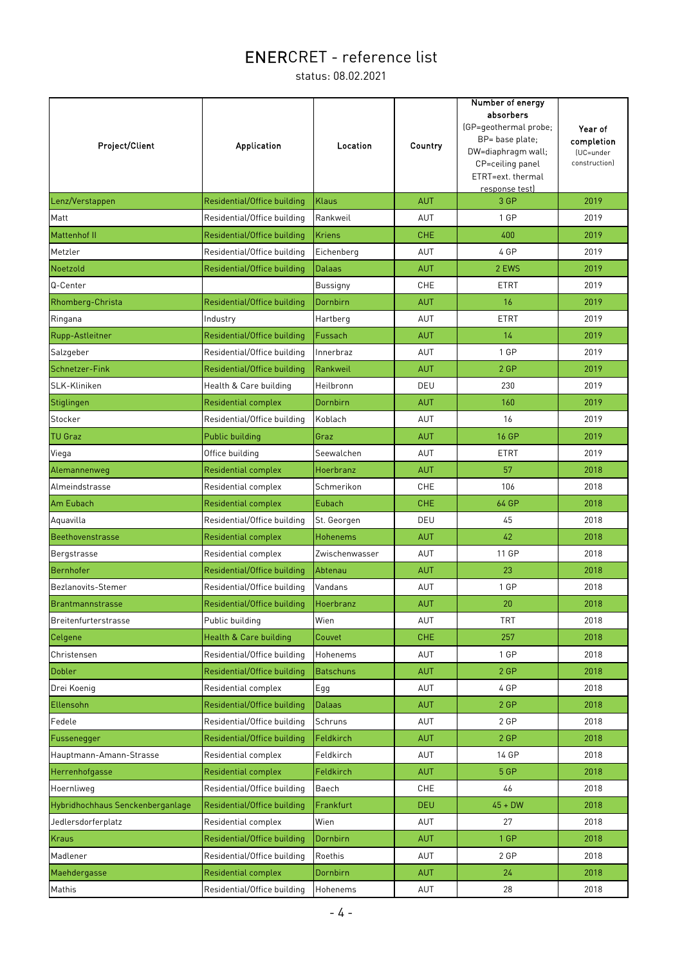| Project/Client                   | Application                 | Location         | Country    | Number of energy<br>absorbers<br>(GP=geothermal probe;<br>BP= base plate;<br>DW=diaphragm wall;<br>CP=ceiling panel<br>ETRT=ext. thermal<br>response test) | Year of<br>completion<br>(UC=under<br>construction) |
|----------------------------------|-----------------------------|------------------|------------|------------------------------------------------------------------------------------------------------------------------------------------------------------|-----------------------------------------------------|
| Lenz/Verstappen                  | Residential/Office building | <b>Klaus</b>     | <b>AUT</b> | 3 GP                                                                                                                                                       | 2019                                                |
| Matt                             | Residential/Office building | Rankweil         | AUT        | 1 GP                                                                                                                                                       | 2019                                                |
| <b>Mattenhof II</b>              | Residential/Office building | <b>Kriens</b>    | <b>CHE</b> | 400                                                                                                                                                        | 2019                                                |
| Metzler                          | Residential/Office building | Eichenberg       | AUT        | 4 GP                                                                                                                                                       | 2019                                                |
| Noetzold                         | Residential/Office building | <b>Dalaas</b>    | <b>AUT</b> | 2 EWS                                                                                                                                                      | 2019                                                |
| Q-Center                         |                             | <b>Bussigny</b>  | CHE        | ETRT                                                                                                                                                       | 2019                                                |
| Rhomberg-Christa                 | Residential/Office building | Dornbirn         | <b>AUT</b> | 16                                                                                                                                                         | 2019                                                |
| Ringana                          | Industry                    | Hartberg         | <b>AUT</b> | <b>ETRT</b>                                                                                                                                                | 2019                                                |
| Rupp-Astleitner                  | Residential/Office building | Fussach          | <b>AUT</b> | 14                                                                                                                                                         | 2019                                                |
| Salzgeber                        | Residential/Office building | Innerbraz        | AUT        | 1 GP                                                                                                                                                       | 2019                                                |
| Schnetzer-Fink                   | Residential/Office building | Rankweil         | <b>AUT</b> | 2 GP                                                                                                                                                       | 2019                                                |
| SLK-Kliniken                     | Health & Care building      | Heilbronn        | DEU        | 230                                                                                                                                                        | 2019                                                |
| Stiglingen                       | Residential complex         | Dornbirn         | <b>AUT</b> | 160                                                                                                                                                        | 2019                                                |
| Stocker                          | Residential/Office building | Koblach          | AUT        | 16                                                                                                                                                         | 2019                                                |
| <b>TU Graz</b>                   | Public building             | Graz             | <b>AUT</b> | <b>16 GP</b>                                                                                                                                               | 2019                                                |
| Viega                            | Office building             | Seewalchen       | <b>AUT</b> | <b>ETRT</b>                                                                                                                                                | 2019                                                |
| Alemannenweg                     | Residential complex         | Hoerbranz        | <b>AUT</b> | 57                                                                                                                                                         | 2018                                                |
| Almeindstrasse                   | Residential complex         | Schmerikon       | CHE        | 106                                                                                                                                                        | 2018                                                |
| Am Eubach                        | <b>Residential complex</b>  | Eubach           | <b>CHE</b> | 64 GP                                                                                                                                                      | 2018                                                |
| Aquavilla                        | Residential/Office building | St. Georgen      | DEU        | 45                                                                                                                                                         | 2018                                                |
| Beethovenstrasse                 | Residential complex         | <b>Hohenems</b>  | <b>AUT</b> | 42                                                                                                                                                         | 2018                                                |
| Bergstrasse                      | Residential complex         | Zwischenwasser   | AUT        | 11 GP                                                                                                                                                      | 2018                                                |
| Bernhofer                        | Residential/Office building | Abtenau          | <b>AUT</b> | 23                                                                                                                                                         | 2018                                                |
| Bezlanovits-Stemer               | Residential/Office building | Vandans          | AUT        | 1 GP                                                                                                                                                       | 2018                                                |
| Brantmannstrasse                 | Residential/Office building | Hoerbranz        | <b>AUT</b> | 20                                                                                                                                                         | 2018                                                |
| <b>Breitenfurterstrasse</b>      | Public building             | Wien             | AUT        | <b>TRT</b>                                                                                                                                                 | 2018                                                |
| Celgene                          | Health & Care building      | Couvet           | <b>CHE</b> | 257                                                                                                                                                        | 2018                                                |
| Christensen                      | Residential/Office building | Hohenems         | AUT        | 1 GP                                                                                                                                                       | 2018                                                |
| Dobler                           | Residential/Office building | <b>Batschuns</b> | <b>AUT</b> | 2 GP                                                                                                                                                       | 2018                                                |
| Drei Koenig                      | Residential complex         | Egg              | AUT        | 4 GP                                                                                                                                                       | 2018                                                |
| Ellensohn                        | Residential/Office building | <b>Dalaas</b>    | <b>AUT</b> | 2 GP                                                                                                                                                       | 2018                                                |
| Fedele                           | Residential/Office building | Schruns          | AUT        | 2 GP                                                                                                                                                       | 2018                                                |
| Fussenegger                      | Residential/Office building | Feldkirch        | <b>AUT</b> | 2 GP                                                                                                                                                       | 2018                                                |
| Hauptmann-Amann-Strasse          | Residential complex         | Feldkirch        | AUT        | 14 GP                                                                                                                                                      | 2018                                                |
| Herrenhofgasse                   | <b>Residential complex</b>  | Feldkirch        | <b>AUT</b> | 5 GP                                                                                                                                                       | 2018                                                |
| Hoernliweg                       | Residential/Office building | Baech            | <b>CHE</b> | 46                                                                                                                                                         | 2018                                                |
| Hybridhochhaus Senckenberganlage | Residential/Office building | Frankfurt        | <b>DEU</b> | $45 + DW$                                                                                                                                                  | 2018                                                |
| Jedlersdorferplatz               | Residential complex         | Wien             | AUT        | 27                                                                                                                                                         | 2018                                                |
| Kraus                            | Residential/Office building | Dornbirn         | <b>AUT</b> | 1 GP                                                                                                                                                       | 2018                                                |
| Madlener                         | Residential/Office building | Roethis          | AUT        | 2 GP                                                                                                                                                       | 2018                                                |
| Maehdergasse                     | <b>Residential complex</b>  | Dornbirn         | <b>AUT</b> | 24                                                                                                                                                         | 2018                                                |
| Mathis                           | Residential/Office building | Hohenems         | AUT        | 28                                                                                                                                                         | 2018                                                |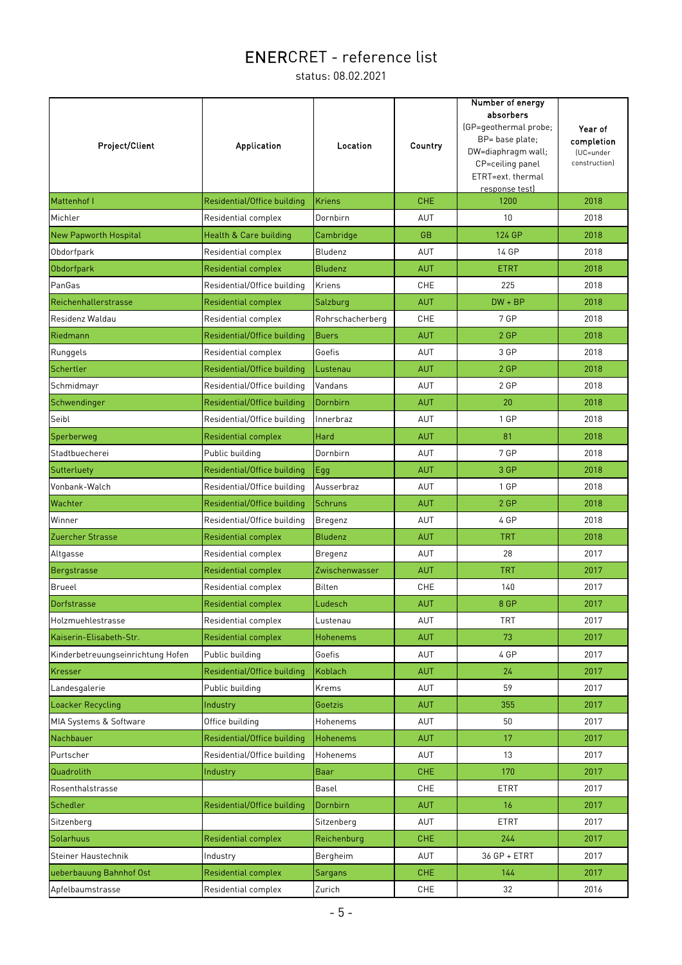| Project/Client                    | <b>Application</b>          | Location         | Country    | Number of energy<br>absorbers<br>(GP=geothermal probe;<br>BP= base plate;<br>DW=diaphragm wall;<br>CP=ceiling panel<br>ETRT=ext. thermal<br>response test) | Year of<br>completion<br>(UC=under<br>constructionl |
|-----------------------------------|-----------------------------|------------------|------------|------------------------------------------------------------------------------------------------------------------------------------------------------------|-----------------------------------------------------|
| Mattenhof I                       | Residential/Office building | <b>Kriens</b>    | <b>CHE</b> | 1200                                                                                                                                                       | 2018                                                |
| Michler                           | Residential complex         | Dornbirn         | AUT        | 10                                                                                                                                                         | 2018                                                |
| <b>New Papworth Hospital</b>      | Health & Care building      | Cambridge        | <b>GB</b>  | 124 GP                                                                                                                                                     | 2018                                                |
| Obdorfpark                        | Residential complex         | Bludenz          | <b>AUT</b> | 14 GP                                                                                                                                                      | 2018                                                |
| Obdorfpark                        | <b>Residential complex</b>  | <b>Bludenz</b>   | <b>AUT</b> | <b>ETRT</b>                                                                                                                                                | 2018                                                |
| PanGas                            | Residential/Office building | Kriens           | CHE        | 225                                                                                                                                                        | 2018                                                |
| Reichenhallerstrasse              | <b>Residential complex</b>  | Salzburg         | <b>AUT</b> | $DW + BP$                                                                                                                                                  | 2018                                                |
| Residenz Waldau                   | Residential complex         | Rohrschacherberg | <b>CHE</b> | 7 GP                                                                                                                                                       | 2018                                                |
| Riedmann                          | Residential/Office building | <b>Buers</b>     | <b>AUT</b> | 2 GP                                                                                                                                                       | 2018                                                |
| Runggels                          | Residential complex         | Goefis           | AUT        | 3 GP                                                                                                                                                       | 2018                                                |
| Schertler                         | Residential/Office building | Lustenau         | <b>AUT</b> | 2 GP                                                                                                                                                       | 2018                                                |
| Schmidmayr                        | Residential/Office building | Vandans          | <b>AUT</b> | 2 GP                                                                                                                                                       | 2018                                                |
| Schwendinger                      | Residential/Office building | Dornbirn         | <b>AUT</b> | 20                                                                                                                                                         | 2018                                                |
| Seibl                             | Residential/Office building | Innerbraz        | AUT        | 1 GP                                                                                                                                                       | 2018                                                |
| Sperberweg                        | <b>Residential complex</b>  | Hard             | <b>AUT</b> | 81                                                                                                                                                         | 2018                                                |
| Stadtbuecherei                    | Public building             | Dornbirn         | AUT        | 7 GP                                                                                                                                                       | 2018                                                |
| Sutterluety                       | Residential/Office building | Egg              | <b>AUT</b> | 3 GP                                                                                                                                                       | 2018                                                |
| Vonbank-Walch                     | Residential/Office building | Ausserbraz       | AUT        | 1 GP                                                                                                                                                       | 2018                                                |
| Wachter                           | Residential/Office building | <b>Schruns</b>   | <b>AUT</b> | 2 GP                                                                                                                                                       | 2018                                                |
| Winner                            | Residential/Office building | Bregenz          | AUT        | 4 GP                                                                                                                                                       | 2018                                                |
| Zuercher Strasse                  | <b>Residential complex</b>  | <b>Bludenz</b>   | <b>AUT</b> | <b>TRT</b>                                                                                                                                                 | 2018                                                |
| Altgasse                          | Residential complex         | Bregenz          | AUT        | 28                                                                                                                                                         | 2017                                                |
| Bergstrasse                       | <b>Residential complex</b>  | Zwischenwasser   | <b>AUT</b> | <b>TRT</b>                                                                                                                                                 | 2017                                                |
| Brueel                            | Residential complex         | <b>Bilten</b>    | <b>CHE</b> | 140                                                                                                                                                        | 2017                                                |
| Dorfstrasse                       | <b>Residential complex</b>  | Ludesch          | <b>AUT</b> | 8 GP                                                                                                                                                       | 2017                                                |
| Holzmuehlestrasse                 | Residential complex         | Lustenau         | AUT        | <b>TRT</b>                                                                                                                                                 | 2017                                                |
| Kaiserin-Elisabeth-Str.           | <b>Residential complex</b>  | Hohenems         | <b>AUT</b> | 73                                                                                                                                                         | 2017                                                |
| Kinderbetreuungseinrichtung Hofen | Public building             | Goefis           | AUT        | 4 GP                                                                                                                                                       | 2017                                                |
| Kresser                           | Residential/Office building | Koblach          | <b>AUT</b> | 24                                                                                                                                                         | 2017                                                |
| Landesgalerie                     | Public building             | Krems            | AUT        | 59                                                                                                                                                         | 2017                                                |
| Loacker Recycling                 | Industry                    | Goetzis          | <b>AUT</b> | 355                                                                                                                                                        | 2017                                                |
| MIA Systems & Software            | Office building             | Hohenems         | AUT        | 50                                                                                                                                                         | 2017                                                |
| Nachbauer                         | Residential/Office building | <b>Hohenems</b>  | <b>AUT</b> | 17                                                                                                                                                         | 2017                                                |
| Purtscher                         | Residential/Office building | Hohenems         | <b>AUT</b> | 13                                                                                                                                                         | 2017                                                |
| Quadrolith                        | Industry                    | <b>Baar</b>      | <b>CHE</b> | 170                                                                                                                                                        | 2017                                                |
| Rosenthalstrasse                  |                             | Basel            | CHE        | <b>ETRT</b>                                                                                                                                                | 2017                                                |
| Schedler                          | Residential/Office building | Dornbirn         | <b>AUT</b> | 16                                                                                                                                                         | 2017                                                |
| Sitzenberg                        |                             | Sitzenberg       | AUT        | <b>ETRT</b>                                                                                                                                                | 2017                                                |
| Solarhuus                         | Residential complex         | Reichenburg      | <b>CHE</b> | 244                                                                                                                                                        | 2017                                                |
| Steiner Haustechnik               | Industry                    | Bergheim         | <b>AUT</b> | 36 GP + ETRT                                                                                                                                               | 2017                                                |
| ueberbauung Bahnhof Ost           | <b>Residential complex</b>  | <b>Sargans</b>   | <b>CHE</b> | 144                                                                                                                                                        | 2017                                                |
| Apfelbaumstrasse                  | Residential complex         | Zurich           | CHE        | 32                                                                                                                                                         | 2016                                                |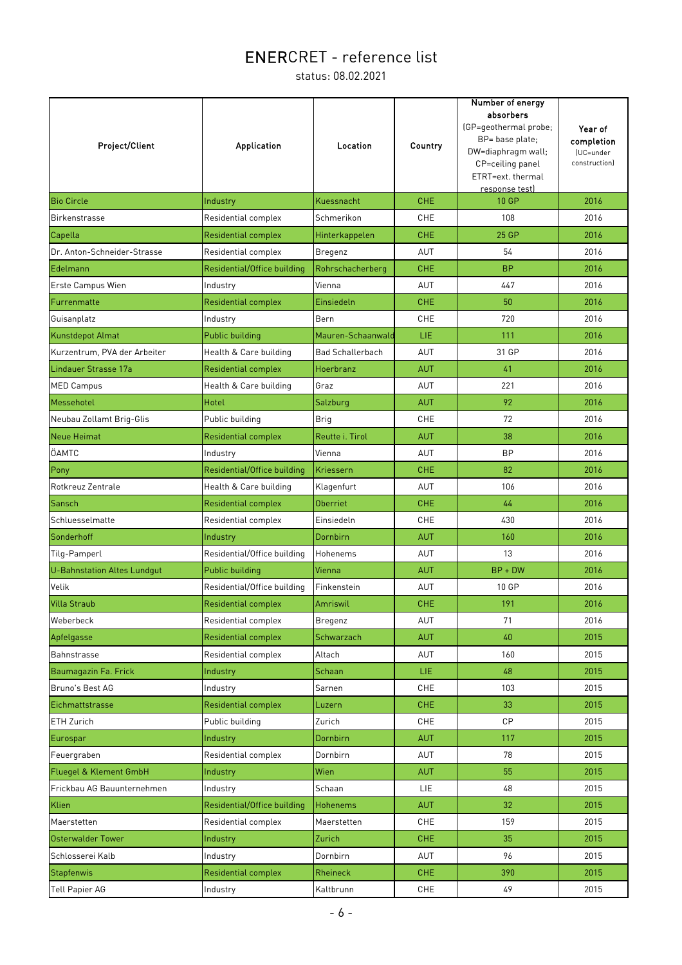| Project/Client                     | <b>Application</b>          | Location                | Country    | Number of energy<br>absorbers<br>(GP=geothermal probe;<br>BP= base plate;<br>DW=diaphragm wall;<br>CP=ceiling panel<br>ETRT=ext. thermal<br>response test) | Year of<br>completion<br>(UC=under<br>construction) |
|------------------------------------|-----------------------------|-------------------------|------------|------------------------------------------------------------------------------------------------------------------------------------------------------------|-----------------------------------------------------|
| <b>Bio Circle</b>                  | Industry                    | Kuessnacht              | <b>CHE</b> | 10 GP                                                                                                                                                      | 2016                                                |
| Birkenstrasse                      | Residential complex         | Schmerikon              | <b>CHE</b> | 108                                                                                                                                                        | 2016                                                |
| Capella                            | <b>Residential complex</b>  | Hinterkappelen          | <b>CHE</b> | 25 GP                                                                                                                                                      | 2016                                                |
| Dr. Anton-Schneider-Strasse        | Residential complex         | Bregenz                 | AUT        | 54                                                                                                                                                         | 2016                                                |
| Edelmann                           | Residential/Office building | Rohrschacherberg        | <b>CHE</b> | <b>BP</b>                                                                                                                                                  | 2016                                                |
| Erste Campus Wien                  | Industry                    | Vienna                  | AUT        | 447                                                                                                                                                        | 2016                                                |
| Furrenmatte                        | Residential complex         | Einsiedeln              | <b>CHE</b> | 50                                                                                                                                                         | 2016                                                |
| Guisanplatz                        | Industry                    | Bern                    | <b>CHE</b> | 720                                                                                                                                                        | 2016                                                |
| Kunstdepot Almat                   | <b>Public building</b>      | Mauren-Schaanwald       | LIE.       | 111                                                                                                                                                        | 2016                                                |
| Kurzentrum, PVA der Arbeiter       | Health & Care building      | <b>Bad Schallerbach</b> | AUT        | 31 GP                                                                                                                                                      | 2016                                                |
| Lindauer Strasse 17a               | <b>Residential complex</b>  | Hoerbranz               | <b>AUT</b> | 41                                                                                                                                                         | 2016                                                |
| <b>MED Campus</b>                  | Health & Care building      | Graz                    | AUT        | 221                                                                                                                                                        | 2016                                                |
| Messehotel                         | Hotel                       | Salzburg                | <b>AUT</b> | 92                                                                                                                                                         | 2016                                                |
| Neubau Zollamt Brig-Glis           | Public building             | <b>Brig</b>             | <b>CHE</b> | 72                                                                                                                                                         | 2016                                                |
| <b>Neue Heimat</b>                 | <b>Residential complex</b>  | Reutte i. Tirol         | <b>AUT</b> | 38                                                                                                                                                         | 2016                                                |
| ÖAMTC                              | Industry                    | Vienna                  | AUT        | <b>BP</b>                                                                                                                                                  | 2016                                                |
| Pony                               | Residential/Office building | Kriessern               | <b>CHE</b> | 82                                                                                                                                                         | 2016                                                |
| Rotkreuz Zentrale                  | Health & Care building      | Klagenfurt              | AUT        | 106                                                                                                                                                        | 2016                                                |
| Sansch                             | Residential complex         | <b>Oberriet</b>         | <b>CHE</b> | 44                                                                                                                                                         | 2016                                                |
| Schluesselmatte                    | Residential complex         | Einsiedeln              | CHE        | 430                                                                                                                                                        | 2016                                                |
| Sonderhoff                         | Industry                    | Dornbirn                | <b>AUT</b> | 160                                                                                                                                                        | 2016                                                |
| Tilg-Pamperl                       | Residential/Office building | Hohenems                | AUT        | 13                                                                                                                                                         | 2016                                                |
| <b>U-Bahnstation Altes Lundgut</b> | Public building             | Vienna                  | <b>AUT</b> | $BP + DW$                                                                                                                                                  | 2016                                                |
| Velik                              | Residential/Office building | Finkenstein             | AUT        | 10 GP                                                                                                                                                      | 2016                                                |
| <b>Villa Straub</b>                | Residential complex         | <b>Amriswil</b>         | <b>CHE</b> | 191                                                                                                                                                        | 2016                                                |
| Weberbeck                          | Residential complex         | Bregenz                 | AUT        | 71                                                                                                                                                         | 2016                                                |
| Apfelgasse                         | <b>Residential complex</b>  | Schwarzach              | <b>AUT</b> | 40                                                                                                                                                         | 2015                                                |
| Bahnstrasse                        | Residential complex         | Altach                  | AUT        | 160                                                                                                                                                        | 2015                                                |
| Baumagazin Fa. Frick               | Industry                    | Schaan                  | LIE.       | 48                                                                                                                                                         | 2015                                                |
| Bruno's Best AG                    | Industry                    | Sarnen                  | CHE        | 103                                                                                                                                                        | 2015                                                |
| Eichmattstrasse                    | <b>Residential complex</b>  | Luzern                  | <b>CHE</b> | 33                                                                                                                                                         | 2015                                                |
| ETH Zurich                         | Public building             | Zurich                  | CHE        | CP                                                                                                                                                         | 2015                                                |
| Eurospar                           | Industry                    | Dornbirn                | <b>AUT</b> | 117                                                                                                                                                        | 2015                                                |
| Feuergraben                        | Residential complex         | Dornbirn                | AUT        | 78                                                                                                                                                         | 2015                                                |
| Fluegel & Klement GmbH             | Industry                    | Wien                    | <b>AUT</b> | 55                                                                                                                                                         | 2015                                                |
| Frickbau AG Bauunternehmen         | Industry                    | Schaan                  | <b>LIE</b> | 48                                                                                                                                                         | 2015                                                |
| Klien                              | Residential/Office building | <b>Hohenems</b>         | <b>AUT</b> | 32                                                                                                                                                         | 2015                                                |
| Maerstetten                        | Residential complex         | Maerstetten             | CHE        | 159                                                                                                                                                        | 2015                                                |
| <b>Osterwalder Tower</b>           | Industry                    | Zurich                  | <b>CHE</b> | 35                                                                                                                                                         | 2015                                                |
| Schlosserei Kalb                   | Industry                    | Dornbirn                | AUT        | 96                                                                                                                                                         | 2015                                                |
| Stapfenwis                         | <b>Residential complex</b>  | Rheineck                | CHE        | 390                                                                                                                                                        | 2015                                                |
| <b>Tell Papier AG</b>              | Industry                    | Kaltbrunn               | CHE        | 49                                                                                                                                                         | 2015                                                |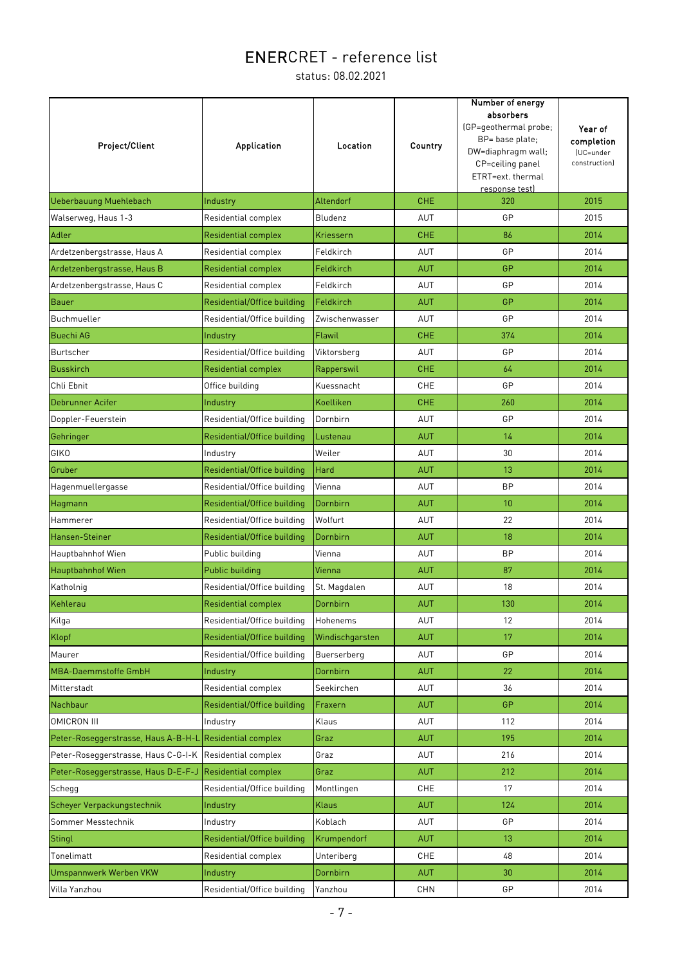| Project/Client                      | <b>Application</b>          | Location        | Country    | Number of energy<br>absorbers<br>(GP=geothermal probe;<br>BP= base plate;<br>DW=diaphragm wall;<br>CP=ceiling panel<br>ETRT=ext. thermal<br>response test) | Year of<br>completion<br>(UC=under<br>construction) |
|-------------------------------------|-----------------------------|-----------------|------------|------------------------------------------------------------------------------------------------------------------------------------------------------------|-----------------------------------------------------|
| <b>Ueberbauung Muehlebach</b>       | Industry                    | Altendorf       | <b>CHE</b> | 320                                                                                                                                                        | 2015                                                |
| Walserweg, Haus 1-3                 | Residential complex         | Bludenz         | AUT        | GP                                                                                                                                                         | 2015                                                |
| Adler                               | Residential complex         | Kriessern       | <b>CHE</b> | 86                                                                                                                                                         | 2014                                                |
| Ardetzenbergstrasse, Haus A         | Residential complex         | Feldkirch       | <b>AUT</b> | GP                                                                                                                                                         | 2014                                                |
| Ardetzenbergstrasse, Haus B         | Residential complex         | Feldkirch       | <b>AUT</b> | GP                                                                                                                                                         | 2014                                                |
| Ardetzenbergstrasse, Haus C         | Residential complex         | Feldkirch       | AUT        | GP                                                                                                                                                         | 2014                                                |
| Bauer                               | Residential/Office building | Feldkirch       | <b>AUT</b> | GP                                                                                                                                                         | 2014                                                |
| Buchmueller                         | Residential/Office building | Zwischenwasser  | <b>AUT</b> | GP                                                                                                                                                         | 2014                                                |
| <b>Buechi AG</b>                    | Industry                    | Flawil          | <b>CHE</b> | 374                                                                                                                                                        | 2014                                                |
| Burtscher                           | Residential/Office building | Viktorsberg     | AUT        | GP                                                                                                                                                         | 2014                                                |
| <b>Busskirch</b>                    | <b>Residential complex</b>  | Rapperswil      | <b>CHE</b> | 64                                                                                                                                                         | 2014                                                |
| Chli Ebnit                          | Office building             | Kuessnacht      | CHE        | GP                                                                                                                                                         | 2014                                                |
| <b>Debrunner Acifer</b>             | Industry                    | Koelliken       | <b>CHE</b> | 260                                                                                                                                                        | 2014                                                |
| Doppler-Feuerstein                  | Residential/Office building | Dornbirn        | <b>AUT</b> | GP                                                                                                                                                         | 2014                                                |
| Gehringer                           | Residential/Office building | Lustenau        | <b>AUT</b> | 14                                                                                                                                                         | 2014                                                |
| GIKO                                | Industry                    | Weiler          | AUT        | 30                                                                                                                                                         | 2014                                                |
| Gruber                              | Residential/Office building | Hard            | AUT        | 13                                                                                                                                                         | 2014                                                |
| Hagenmuellergasse                   | Residential/Office building | Vienna          | AUT        | <b>BP</b>                                                                                                                                                  | 2014                                                |
| Hagmann                             | Residential/Office building | Dornbirn        | <b>AUT</b> | 10                                                                                                                                                         | 2014                                                |
| Hammerer                            | Residential/Office building | Wolfurt         | AUT        | 22                                                                                                                                                         | 2014                                                |
| Hansen-Steiner                      | Residential/Office building | Dornbirn        | <b>AUT</b> | 18                                                                                                                                                         | 2014                                                |
| Hauptbahnhof Wien                   | Public building             | Vienna          | AUT        | <b>BP</b>                                                                                                                                                  | 2014                                                |
| <b>Hauptbahnhof Wien</b>            | Public building             | Vienna          | <b>AUT</b> | 87                                                                                                                                                         | 2014                                                |
| Katholnig                           | Residential/Office building | St. Magdalen    | AUT        | 18                                                                                                                                                         | 2014                                                |
| Kehlerau                            | Residential complex         | Dornbirn        | <b>AUT</b> | 130                                                                                                                                                        | 2014                                                |
| Kilga                               | Residential/Office building | Hohenems        | AUT        | 12                                                                                                                                                         | 2014                                                |
| Klopf                               | Residential/Office building | Windischgarsten | <b>AUT</b> | 17                                                                                                                                                         | 2014                                                |
| Maurer                              | Residential/Office building | Buerserberg     | AUT        | GP                                                                                                                                                         | 2014                                                |
| MBA-Daemmstoffe GmbH                | Industry                    | Dornbirn        | <b>AUT</b> | 22                                                                                                                                                         | 2014                                                |
| Mitterstadt                         | Residential complex         | Seekirchen      | AUT        | 36                                                                                                                                                         | 2014                                                |
| Nachbaur                            | Residential/Office building | Fraxern         | <b>AUT</b> | GP                                                                                                                                                         | 2014                                                |
| <b>OMICRON III</b>                  | Industry                    | Klaus           | AUT        | 112                                                                                                                                                        | 2014                                                |
| Peter-Roseggerstrasse, Haus A-B-H-L | <b>Residential complex</b>  | Graz            | <b>AUT</b> | 195                                                                                                                                                        | 2014                                                |
| Peter-Roseggerstrasse, Haus C-G-I-K | Residential complex         | Graz            | AUT        | 216                                                                                                                                                        | 2014                                                |
| Peter-Roseggerstrasse, Haus D-E-F-J | <b>Residential complex</b>  | Graz            | <b>AUT</b> | 212                                                                                                                                                        | 2014                                                |
| Schegg                              | Residential/Office building | Montlingen      | <b>CHE</b> | 17                                                                                                                                                         | 2014                                                |
| Scheyer Verpackungstechnik          | Industry                    | Klaus           | AUT        | 124                                                                                                                                                        | 2014                                                |
| Sommer Messtechnik                  | Industry                    | Koblach         | AUT        | GP                                                                                                                                                         | 2014                                                |
| <b>Stingl</b>                       | Residential/Office building | Krumpendorf     | <b>AUT</b> | 13 <sup>°</sup>                                                                                                                                            | 2014                                                |
| Tonelimatt                          | Residential complex         | Unteriberg      | <b>CHE</b> | 48                                                                                                                                                         | 2014                                                |
| <b>Umspannwerk Werben VKW</b>       | Industry                    | Dornbirn        | <b>AUT</b> | 30                                                                                                                                                         | 2014                                                |
| Villa Yanzhou                       | Residential/Office building | Yanzhou         | <b>CHN</b> | GP                                                                                                                                                         | 2014                                                |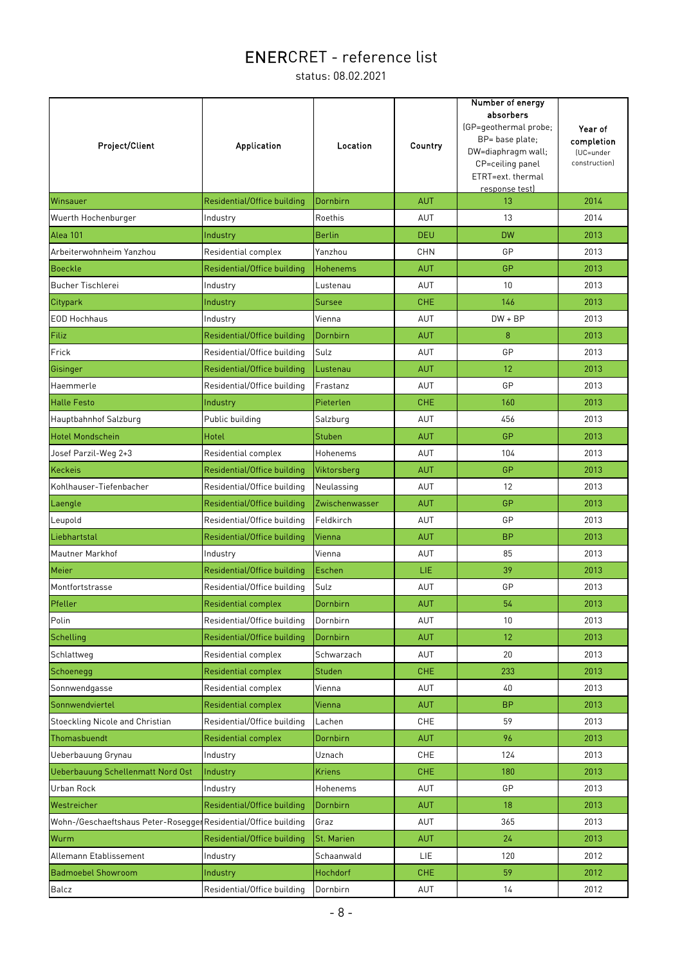| Project/Client                                                  | Application                 | Location        | Country    | Number of energy<br>absorbers<br>(GP=geothermal probe;<br>BP= base plate;<br>DW=diaphragm wall;<br>CP=ceiling panel<br>ETRT=ext. thermal<br>response test) | Year of<br>completion<br>(UC=under<br>construction) |
|-----------------------------------------------------------------|-----------------------------|-----------------|------------|------------------------------------------------------------------------------------------------------------------------------------------------------------|-----------------------------------------------------|
| Winsauer                                                        | Residential/Office building | Dornbirn        | <b>AUT</b> | 13                                                                                                                                                         | 2014                                                |
| Wuerth Hochenburger                                             | Industry                    | Roethis         | AUT        | 13                                                                                                                                                         | 2014                                                |
| Alea 101                                                        | Industry                    | <b>Berlin</b>   | <b>DEU</b> | <b>DW</b>                                                                                                                                                  | 2013                                                |
| Arbeiterwohnheim Yanzhou                                        | Residential complex         | Yanzhou         | <b>CHN</b> | GP                                                                                                                                                         | 2013                                                |
| Boeckle                                                         | Residential/Office building | <b>Hohenems</b> | <b>AUT</b> | GP                                                                                                                                                         | 2013                                                |
| <b>Bucher Tischlerei</b>                                        | Industry                    | Lustenau        | AUT        | 10                                                                                                                                                         | 2013                                                |
| Citypark                                                        | Industry                    | Sursee          | <b>CHE</b> | 146                                                                                                                                                        | 2013                                                |
| EOD Hochhaus                                                    | Industry                    | Vienna          | <b>AUT</b> | $DW + BP$                                                                                                                                                  | 2013                                                |
| Filiz                                                           | Residential/Office building | Dornbirn        | <b>AUT</b> | 8                                                                                                                                                          | 2013                                                |
| Frick                                                           | Residential/Office building | Sulz            | AUT        | GP                                                                                                                                                         | 2013                                                |
| Gisinger                                                        | Residential/Office building | Lustenau        | <b>AUT</b> | 12                                                                                                                                                         | 2013                                                |
| Haemmerle                                                       | Residential/Office building | Frastanz        | <b>AUT</b> | GP                                                                                                                                                         | 2013                                                |
| <b>Halle Festo</b>                                              | Industry                    | Pieterlen       | <b>CHE</b> | 160                                                                                                                                                        | 2013                                                |
| Hauptbahnhof Salzburg                                           | Public building             | Salzburg        | AUT        | 456                                                                                                                                                        | 2013                                                |
| <b>Hotel Mondschein</b>                                         | Hotel                       | <b>Stuben</b>   | <b>AUT</b> | GP                                                                                                                                                         | 2013                                                |
| Josef Parzil-Weg 2+3                                            | Residential complex         | Hohenems        | AUT        | 104                                                                                                                                                        | 2013                                                |
| Keckeis                                                         | Residential/Office building | Viktorsberg     | <b>AUT</b> | GP                                                                                                                                                         | 2013                                                |
| Kohlhauser-Tiefenbacher                                         | Residential/Office building | Neulassing      | AUT        | 12                                                                                                                                                         | 2013                                                |
| Laengle                                                         | Residential/Office building | Zwischenwasser  | <b>AUT</b> | GP                                                                                                                                                         | 2013                                                |
| Leupold                                                         | Residential/Office building | Feldkirch       | <b>AUT</b> | GP                                                                                                                                                         | 2013                                                |
| Liebhartstal                                                    | Residential/Office building | Vienna          | <b>AUT</b> | <b>BP</b>                                                                                                                                                  | 2013                                                |
| Mautner Markhof                                                 | Industry                    | Vienna          | AUT        | 85                                                                                                                                                         | 2013                                                |
| Meier                                                           | Residential/Office building | Eschen          | LIE.       | 39                                                                                                                                                         | 2013                                                |
| Montfortstrasse                                                 | Residential/Office building | Sulz            | AUT        | GP                                                                                                                                                         | 2013                                                |
| Pfeller                                                         | Residential complex         | Dornbirn        | <b>AUT</b> | 54                                                                                                                                                         | 2013                                                |
| Polin                                                           | Residential/Office building | Dornbirn        | AUT        | 10 <sup>1</sup>                                                                                                                                            | 2013                                                |
| Schelling                                                       | Residential/Office building | Dornbirn        | <b>AUT</b> | 12                                                                                                                                                         | 2013                                                |
| Schlattweg                                                      | Residential complex         | Schwarzach      | AUT        | 20                                                                                                                                                         | 2013                                                |
| Schoenegg                                                       | <b>Residential complex</b>  | Studen          | <b>CHE</b> | 233                                                                                                                                                        | 2013                                                |
| Sonnwendgasse                                                   | Residential complex         | Vienna          | AUT        | 40                                                                                                                                                         | 2013                                                |
| Sonnwendviertel                                                 | <b>Residential complex</b>  | Vienna          | <b>AUT</b> | <b>BP</b>                                                                                                                                                  | 2013                                                |
| Stoeckling Nicole and Christian                                 | Residential/Office building | Lachen          | CHE        | 59                                                                                                                                                         | 2013                                                |
| Thomasbuendt                                                    | <b>Residential complex</b>  | Dornbirn        | <b>AUT</b> | 96                                                                                                                                                         | 2013                                                |
| Ueberbauung Grynau                                              | Industry                    | Uznach          | CHE        | 124                                                                                                                                                        | 2013                                                |
| Ueberbauung Schellenmatt Nord Ost                               | Industry                    | <b>Kriens</b>   | <b>CHE</b> | 180                                                                                                                                                        | 2013                                                |
| Urban Rock                                                      | Industry                    | Hohenems        | AUT        | GP                                                                                                                                                         | 2013                                                |
| Westreicher                                                     | Residential/Office building | Dornbirn        | <b>AUT</b> | 18                                                                                                                                                         | 2013                                                |
| Wohn-/Geschaeftshaus Peter-Rosegger Residential/Office building |                             | Graz            | AUT        | 365                                                                                                                                                        | 2013                                                |
| Wurm                                                            | Residential/Office building | St. Marien      | <b>AUT</b> | 24                                                                                                                                                         | 2013                                                |
|                                                                 |                             |                 |            |                                                                                                                                                            |                                                     |
| Allemann Etablissement                                          | Industry                    | Schaanwald      | LIE        | 120                                                                                                                                                        | 2012                                                |
| <b>Badmoebel Showroom</b>                                       | Industry                    | Hochdorf        | <b>CHE</b> | 59                                                                                                                                                         | 2012                                                |
| Balcz                                                           | Residential/Office building | Dornbirn        | AUT        | 14                                                                                                                                                         | 2012                                                |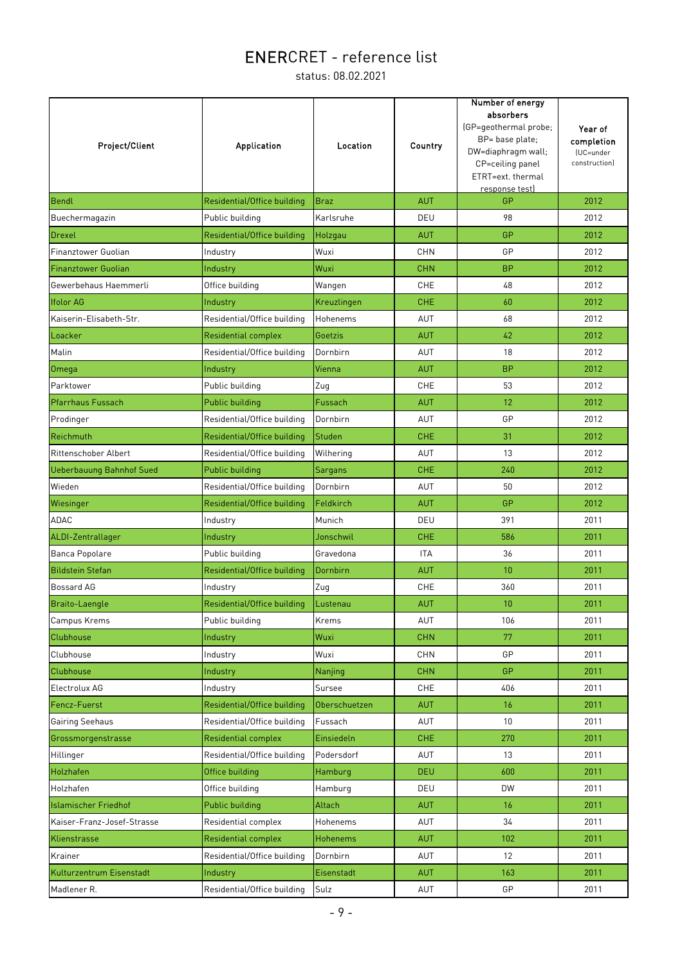| <b>Project/Client</b>           | <b>Application</b>          | Location        | Country    | Number of energy<br>absorbers<br>(GP=geothermal probe;<br>BP= base plate;<br>DW=diaphragm wall;<br>CP=ceiling panel<br>ETRT=ext. thermal<br>response test) | Year of<br>completion<br>(UC=under<br>construction) |
|---------------------------------|-----------------------------|-----------------|------------|------------------------------------------------------------------------------------------------------------------------------------------------------------|-----------------------------------------------------|
| Bendl                           | Residential/Office building | <b>Braz</b>     | <b>AUT</b> | GP                                                                                                                                                         | 2012                                                |
| Buechermagazin                  | Public building             | Karlsruhe       | DEU        | 98                                                                                                                                                         | 2012                                                |
| Drexel                          | Residential/Office building | Holzgau         | <b>AUT</b> | <b>GP</b>                                                                                                                                                  | 2012                                                |
| Finanztower Guolian             | Industry                    | Wuxi            | CHN        | GP                                                                                                                                                         | 2012                                                |
| <b>Finanztower Guolian</b>      | Industry                    | Wuxi            | <b>CHN</b> | <b>BP</b>                                                                                                                                                  | 2012                                                |
| Gewerbehaus Haemmerli           | Office building             | Wangen          | <b>CHE</b> | 48                                                                                                                                                         | 2012                                                |
| <b>Ifolor AG</b>                | Industry                    | Kreuzlingen     | <b>CHE</b> | 60                                                                                                                                                         | 2012                                                |
| Kaiserin-Elisabeth-Str.         | Residential/Office building | Hohenems        | AUT        | 68                                                                                                                                                         | 2012                                                |
| Loacker                         | <b>Residential complex</b>  | Goetzis         | <b>AUT</b> | 42                                                                                                                                                         | 2012                                                |
| Malin                           | Residential/Office building | Dornbirn        | <b>AUT</b> | 18                                                                                                                                                         | 2012                                                |
| <b>Omega</b>                    | Industry                    | Vienna          | <b>AUT</b> | <b>BP</b>                                                                                                                                                  | 2012                                                |
| Parktower                       | Public building             | Zug             | <b>CHE</b> | 53                                                                                                                                                         | 2012                                                |
| Pfarrhaus Fussach               | Public building             | Fussach         | <b>AUT</b> | 12                                                                                                                                                         | 2012                                                |
| Prodinger                       | Residential/Office building | Dornbirn        | AUT        | GP                                                                                                                                                         | 2012                                                |
| Reichmuth                       | Residential/Office building | Studen          | <b>CHE</b> | 31                                                                                                                                                         | 2012                                                |
| <b>Rittenschober Albert</b>     | Residential/Office building | Wilhering       | AUT        | 13                                                                                                                                                         | 2012                                                |
| <b>Ueberbauung Bahnhof Sued</b> | Public building             | <b>Sargans</b>  | <b>CHE</b> | 240                                                                                                                                                        | 2012                                                |
| Wieden                          | Residential/Office building | Dornbirn        | AUT        | 50                                                                                                                                                         | 2012                                                |
| Wiesinger                       | Residential/Office building | Feldkirch       | <b>AUT</b> | GP                                                                                                                                                         | 2012                                                |
| <b>ADAC</b>                     | Industry                    | Munich          | DEU        | 391                                                                                                                                                        | 2011                                                |
| ALDI-Zentrallager               | Industry                    | Jonschwil       | <b>CHE</b> | 586                                                                                                                                                        | 2011                                                |
| Banca Popolare                  | Public building             | Gravedona       | <b>ITA</b> | 36                                                                                                                                                         | 2011                                                |
| <b>Bildstein Stefan</b>         | Residential/Office building | Dornbirn        | <b>AUT</b> | 10 <sup>1</sup>                                                                                                                                            | 2011                                                |
| Bossard AG                      | Industry                    | Zug             | <b>CHE</b> | 360                                                                                                                                                        | 2011                                                |
| <b>Braito-Laengle</b>           | Residential/Office building | Lustenau        | <b>AUT</b> | 10 <sup>1</sup>                                                                                                                                            | 2011                                                |
| Campus Krems                    | Public building             | Krems           | <b>AUT</b> | 106                                                                                                                                                        | 2011                                                |
| Clubhouse                       | Industry                    | Wuxi            | <b>CHN</b> | 77                                                                                                                                                         | 2011                                                |
| Clubhouse                       | Industry                    | Wuxi            | <b>CHN</b> | GP                                                                                                                                                         | 2011                                                |
| Clubhouse                       | Industry                    | Nanjing         | <b>CHN</b> | GP                                                                                                                                                         | 2011                                                |
| Electrolux AG                   | Industry                    | Sursee          | CHE        | 406                                                                                                                                                        | 2011                                                |
| Fencz-Fuerst                    | Residential/Office building | Oberschuetzen   | <b>AUT</b> | 16                                                                                                                                                         | 2011                                                |
| Gairing Seehaus                 | Residential/Office building | Fussach         | AUT        | 10 <sup>°</sup>                                                                                                                                            | 2011                                                |
| Grossmorgenstrasse              | <b>Residential complex</b>  | Einsiedeln      | <b>CHE</b> | 270                                                                                                                                                        | 2011                                                |
| Hillinger                       | Residential/Office building | Podersdorf      | <b>AUT</b> | 13                                                                                                                                                         | 2011                                                |
| Holzhafen                       | Office building             | Hamburg         | <b>DEU</b> | 600                                                                                                                                                        | 2011                                                |
| Holzhafen                       | Office building             | Hamburg         | DEU        | DW                                                                                                                                                         | 2011                                                |
| <b>Islamischer Friedhof</b>     | Public building             | Altach          | <b>AUT</b> | 16                                                                                                                                                         | 2011                                                |
| Kaiser-Franz-Josef-Strasse      | Residential complex         | Hohenems        | AUT        | 34                                                                                                                                                         | 2011                                                |
| Klienstrasse                    | <b>Residential complex</b>  | <b>Hohenems</b> | <b>AUT</b> | 102                                                                                                                                                        | 2011                                                |
| Krainer                         | Residential/Office building | Dornbirn        | <b>AUT</b> | 12                                                                                                                                                         | 2011                                                |
| Kulturzentrum Eisenstadt        | Industry                    | Eisenstadt      | <b>AUT</b> | 163                                                                                                                                                        | 2011                                                |
| Madlener R.                     | Residential/Office building | Sulz            | AUT        | GP                                                                                                                                                         | 2011                                                |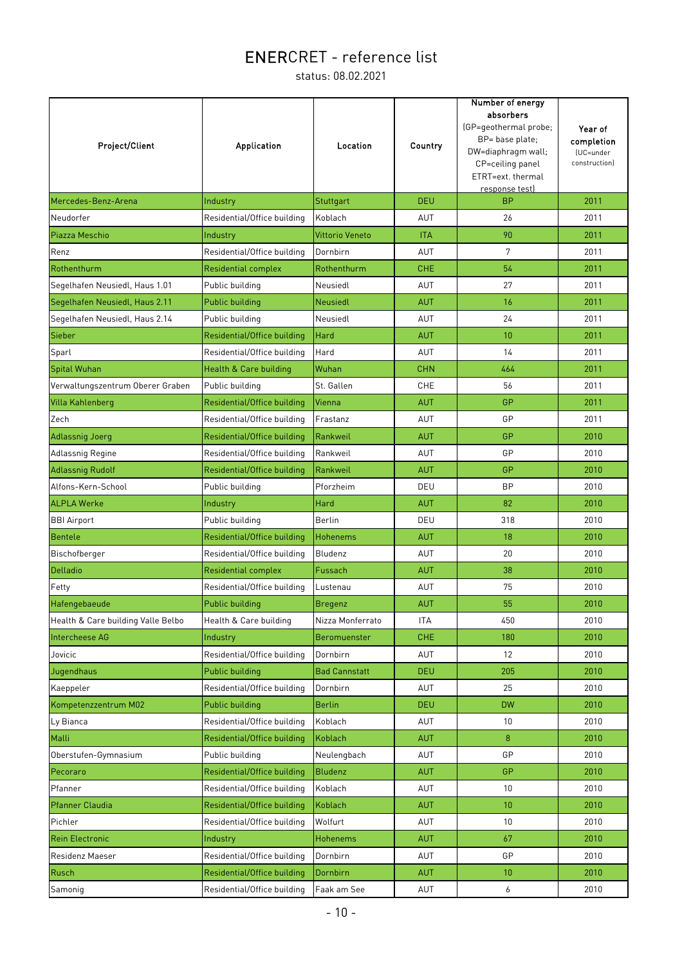| Project/Client                     | Application                 | Location             | Country    | Number of energy<br>absorbers<br>(GP=geothermal probe;<br>BP= base plate;<br>DW=diaphragm wall;<br>CP=ceiling panel<br>ETRT=ext. thermal<br>response test) | Year of<br>completion<br>(UC=under<br>construction) |
|------------------------------------|-----------------------------|----------------------|------------|------------------------------------------------------------------------------------------------------------------------------------------------------------|-----------------------------------------------------|
| Mercedes-Benz-Arena                | Industry                    | Stuttgart            | <b>DEU</b> | <b>BP</b>                                                                                                                                                  | 2011                                                |
| Neudorfer                          | Residential/Office building | Koblach              | AUT        | 26                                                                                                                                                         | 2011                                                |
| Piazza Meschio                     | Industry                    | Vittorio Veneto      | <b>ITA</b> | 90                                                                                                                                                         | 2011                                                |
| Renz                               | Residential/Office building | Dornbirn             | AUT        | $\overline{7}$                                                                                                                                             | 2011                                                |
| Rothenthurm                        | Residential complex         | Rothenthurm          | <b>CHE</b> | 54                                                                                                                                                         | 2011                                                |
| Segelhafen Neusiedl, Haus 1.01     | Public building             | Neusiedl             | AUT        | 27                                                                                                                                                         | 2011                                                |
| Segelhafen Neusiedl, Haus 2.11     | Public building             | <b>Neusiedl</b>      | <b>AUT</b> | 16                                                                                                                                                         | 2011                                                |
| Segelhafen Neusiedl, Haus 2.14     | Public building             | Neusiedl             | AUT        | 24                                                                                                                                                         | 2011                                                |
| Sieber                             | Residential/Office building | Hard                 | <b>AUT</b> | 10                                                                                                                                                         | 2011                                                |
| Sparl                              | Residential/Office building | Hard                 | AUT        | 14                                                                                                                                                         | 2011                                                |
| Spital Wuhan                       | Health & Care building      | Wuhan                | <b>CHN</b> | 464                                                                                                                                                        | 2011                                                |
| Verwaltungszentrum Oberer Graben   | Public building             | St. Gallen           | CHE        | 56                                                                                                                                                         | 2011                                                |
| Villa Kahlenberg                   | Residential/Office building | Vienna               | <b>AUT</b> | GP                                                                                                                                                         | 2011                                                |
| Zech                               | Residential/Office building | Frastanz             | AUT        | GP                                                                                                                                                         | 2011                                                |
| Adlassnig Joerg                    | Residential/Office building | Rankweil             | <b>AUT</b> | GP                                                                                                                                                         | 2010                                                |
| Adlassnig Regine                   | Residential/Office building | Rankweil             | AUT        | GP                                                                                                                                                         | 2010                                                |
| <b>Adlassnig Rudolf</b>            | Residential/Office building | Rankweil             | <b>AUT</b> | GP                                                                                                                                                         | 2010                                                |
| Alfons-Kern-School                 | Public building             | Pforzheim            | DEU        | <b>BP</b>                                                                                                                                                  | 2010                                                |
| <b>ALPLA Werke</b>                 | Industry                    | Hard                 | <b>AUT</b> | 82                                                                                                                                                         | 2010                                                |
| <b>BBI Airport</b>                 | Public building             | Berlin               | DEU        | 318                                                                                                                                                        | 2010                                                |
| Bentele                            | Residential/Office building | <b>Hohenems</b>      | <b>AUT</b> | 18                                                                                                                                                         | 2010                                                |
| Bischofberger                      | Residential/Office building | Bludenz              | AUT        | 20                                                                                                                                                         | 2010                                                |
| Delladio                           | <b>Residential complex</b>  | Fussach              | <b>AUT</b> | 38                                                                                                                                                         | 2010                                                |
| Fetty                              | Residential/Office building | Lustenau             | AUT        | 75                                                                                                                                                         | 2010                                                |
| Hafengebaeude                      | Public building             | <b>Bregenz</b>       | <b>AUT</b> | 55                                                                                                                                                         | 2010                                                |
| Health & Care building Valle Belbo | Health & Care building      | Nizza Monferrato     | <b>ITA</b> | 450                                                                                                                                                        | 2010                                                |
| Intercheese AG                     | Industry                    | Beromuenster         | <b>CHE</b> | 180                                                                                                                                                        | 2010                                                |
| Jovicic                            | Residential/Office building | Dornbirn             | AUT        | 12                                                                                                                                                         | 2010                                                |
| Jugendhaus                         | Public building             | <b>Bad Cannstatt</b> | <b>DEU</b> | 205                                                                                                                                                        | 2010                                                |
| Kaeppeler                          | Residential/Office building | Dornbirn             | AUT        | 25                                                                                                                                                         | 2010                                                |
| Kompetenzzentrum M02               | Public building             | <b>Berlin</b>        | <b>DEU</b> | <b>DW</b>                                                                                                                                                  | 2010                                                |
| Ly Bianca                          | Residential/Office building | Koblach              | AUT        | 10                                                                                                                                                         | 2010                                                |
| Malli                              | Residential/Office building | Koblach              | <b>AUT</b> | 8                                                                                                                                                          | 2010                                                |
| Oberstufen-Gymnasium               | Public building             | Neulengbach          | AUT        | GP                                                                                                                                                         | 2010                                                |
| Pecoraro                           | Residential/Office building | <b>Bludenz</b>       | AUT        | GP                                                                                                                                                         | 2010                                                |
| Pfanner                            | Residential/Office building | Koblach              | AUT        | 10 <sup>1</sup>                                                                                                                                            | 2010                                                |
| <b>Pfanner Claudia</b>             | Residential/Office building | Koblach              | <b>AUT</b> | 10                                                                                                                                                         | 2010                                                |
| Pichler                            | Residential/Office building | Wolfurt              | AUT        | 10                                                                                                                                                         | 2010                                                |
| <b>Rein Electronic</b>             | Industry                    | Hohenems             | <b>AUT</b> | 67                                                                                                                                                         | 2010                                                |
| Residenz Maeser                    | Residential/Office building | Dornbirn             | AUT        | GP                                                                                                                                                         | 2010                                                |
| Rusch                              | Residential/Office building | Dornbirn             | <b>AUT</b> | 10 <sup>°</sup>                                                                                                                                            | 2010                                                |
| Samonig                            | Residential/Office building | Faak am See          | AUT        | 6                                                                                                                                                          | 2010                                                |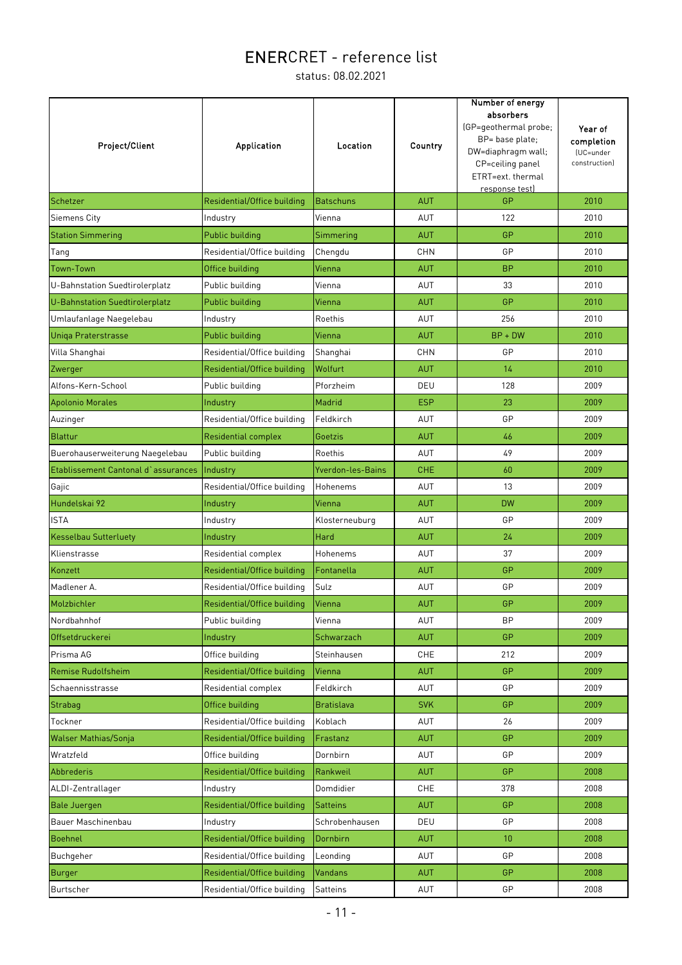| Project/Client                      | Application                 | <b>Location</b>   | Country    | Number of energy<br>absorbers<br>(GP=geothermal probe;<br>BP= base plate;<br>DW=diaphragm wall;<br>CP=ceiling panel<br>ETRT=ext. thermal<br>response test) | Year of<br>completion<br>(UC=under<br>construction) |
|-------------------------------------|-----------------------------|-------------------|------------|------------------------------------------------------------------------------------------------------------------------------------------------------------|-----------------------------------------------------|
| Schetzer                            | Residential/Office building | <b>Batschuns</b>  | <b>AUT</b> | GP                                                                                                                                                         | 2010                                                |
| <b>Siemens City</b>                 | Industry                    | Vienna            | <b>AUT</b> | 122                                                                                                                                                        | 2010                                                |
| <b>Station Simmering</b>            | Public building             | Simmering         | <b>AUT</b> | GP                                                                                                                                                         | 2010                                                |
| Tang                                | Residential/Office building | Chengdu           | <b>CHN</b> | GP                                                                                                                                                         | 2010                                                |
| Town-Town                           | Office building             | Vienna            | <b>AUT</b> | <b>BP</b>                                                                                                                                                  | 2010                                                |
| U-Bahnstation Suedtirolerplatz      | Public building             | Vienna            | <b>AUT</b> | 33                                                                                                                                                         | 2010                                                |
| U-Bahnstation Suedtirolerplatz      | Public building             | Vienna            | <b>AUT</b> | GP                                                                                                                                                         | 2010                                                |
| Umlaufanlage Naegelebau             | Industry                    | Roethis           | AUT        | 256                                                                                                                                                        | 2010                                                |
| <b>Uniga Praterstrasse</b>          | Public building             | Vienna            | <b>AUT</b> | $BP + DW$                                                                                                                                                  | 2010                                                |
| Villa Shanghai                      | Residential/Office building | Shanghai          | <b>CHN</b> | GP                                                                                                                                                         | 2010                                                |
| Zwerger                             | Residential/Office building | Wolfurt           | <b>AUT</b> | 14                                                                                                                                                         | 2010                                                |
| Alfons-Kern-School                  | Public building             | Pforzheim         | DEU        | 128                                                                                                                                                        | 2009                                                |
| <b>Apolonio Morales</b>             | Industry                    | Madrid            | <b>ESP</b> | 23                                                                                                                                                         | 2009                                                |
| Auzinger                            | Residential/Office building | Feldkirch         | AUT        | GP                                                                                                                                                         | 2009                                                |
| <b>Blattur</b>                      | Residential complex         | Goetzis           | <b>AUT</b> | 46                                                                                                                                                         | 2009                                                |
| Buerohauserweiterung Naegelebau     | Public building             | Roethis           | <b>AUT</b> | 49                                                                                                                                                         | 2009                                                |
| Etablissement Cantonal d'assurances | Industry                    | Yverdon-les-Bains | <b>CHE</b> | 60                                                                                                                                                         | 2009                                                |
| Gajic                               | Residential/Office building | Hohenems          | AUT        | 13                                                                                                                                                         | 2009                                                |
| Hundelskai 92                       | Industry                    | Vienna            | <b>AUT</b> | <b>DW</b>                                                                                                                                                  | 2009                                                |
| <b>ISTA</b>                         | Industry                    | Klosterneuburg    | AUT        | GP                                                                                                                                                         | 2009                                                |
| <b>Kesselbau Sutterluety</b>        | Industry                    | Hard              | <b>AUT</b> | 24                                                                                                                                                         | 2009                                                |
| Klienstrasse                        | Residential complex         | Hohenems          | AUT        | 37                                                                                                                                                         | 2009                                                |
| Konzett                             | Residential/Office building | Fontanella        | <b>AUT</b> | GP                                                                                                                                                         | 2009                                                |
| Madlener A.                         | Residential/Office building | Sulz              | AUT        | GP                                                                                                                                                         | 2009                                                |
| Molzbichler                         | Residential/Office building | Vienna            | <b>AUT</b> | GP                                                                                                                                                         | 2009                                                |
| Nordbahnhof                         | Public building             | Vienna            | AUT        | <b>BP</b>                                                                                                                                                  | 2009                                                |
| Offsetdruckerei                     | Industry                    | Schwarzach        | <b>AUT</b> | <b>GP</b>                                                                                                                                                  | 2009                                                |
| Prisma AG                           | Office building             | Steinhausen       | <b>CHE</b> | 212                                                                                                                                                        | 2009                                                |
| Remise Rudolfsheim                  | Residential/Office building | Vienna            | <b>AUT</b> | GP                                                                                                                                                         | 2009                                                |
| Schaennisstrasse                    | Residential complex         | Feldkirch         | AUT        | GP                                                                                                                                                         | 2009                                                |
| Strabag                             | Office building             | <b>Bratislava</b> | <b>SVK</b> | GP                                                                                                                                                         | 2009                                                |
| Tockner                             | Residential/Office building | Koblach           | AUT        | 26                                                                                                                                                         | 2009                                                |
| <b>Walser Mathias/Sonja</b>         | Residential/Office building | Frastanz          | <b>AUT</b> | GP                                                                                                                                                         | 2009                                                |
| Wratzfeld                           | Office building             | Dornbirn          | AUT        | GP                                                                                                                                                         | 2009                                                |
| Abbrederis                          | Residential/Office building | Rankweil          | <b>AUT</b> | GP                                                                                                                                                         | 2008                                                |
| ALDI-Zentrallager                   | Industry                    | Domdidier         | <b>CHE</b> | 378                                                                                                                                                        | 2008                                                |
| <b>Bale Juergen</b>                 | Residential/Office building | <b>Satteins</b>   | <b>AUT</b> | GP                                                                                                                                                         | 2008                                                |
| Bauer Maschinenbau                  | Industry                    | Schrobenhausen    | DEU        | GP                                                                                                                                                         | 2008                                                |
| Boehnel                             | Residential/Office building | Dornbirn          | <b>AUT</b> | 10 <sup>°</sup>                                                                                                                                            | 2008                                                |
| Buchgeher                           | Residential/Office building | Leonding          | AUT        | GP                                                                                                                                                         | 2008                                                |
| Burger                              | Residential/Office building | <b>Vandans</b>    | <b>AUT</b> | GP                                                                                                                                                         | 2008                                                |
| Burtscher                           | Residential/Office building | Satteins          | AUT        | GP                                                                                                                                                         | 2008                                                |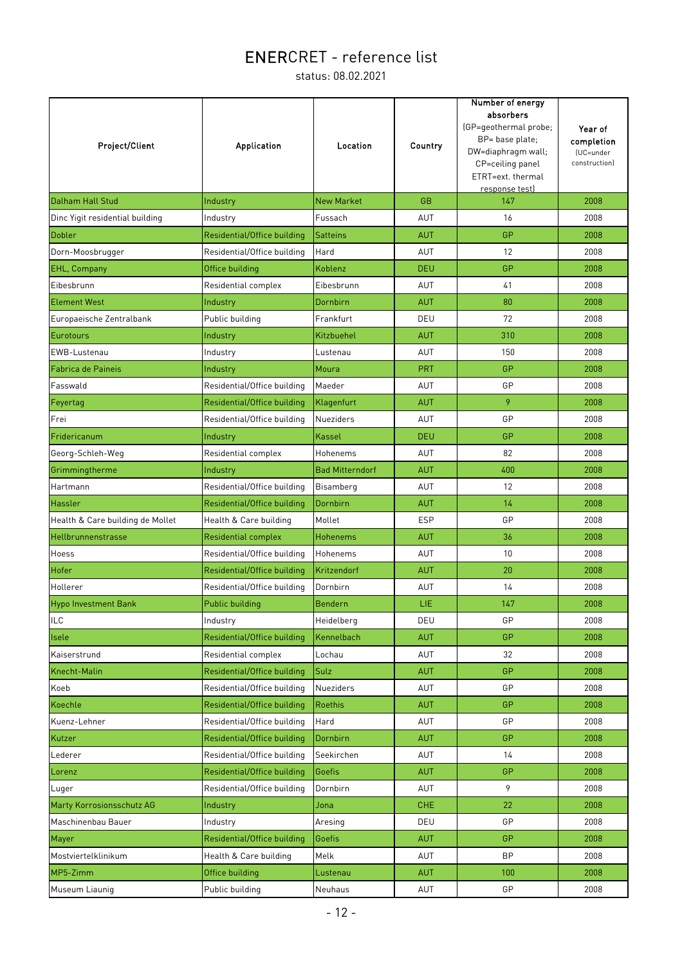| Project/Client                   | <b>Application</b>          | Location               | Country    | Number of energy<br>absorbers<br>(GP=geothermal probe;<br>BP= base plate;<br>DW=diaphragm wall;<br>CP=ceiling panel<br>ETRT=ext. thermal<br>response test) | Year of<br>completion<br>(UC=under<br>construction) |
|----------------------------------|-----------------------------|------------------------|------------|------------------------------------------------------------------------------------------------------------------------------------------------------------|-----------------------------------------------------|
| <b>Dalham Hall Stud</b>          | Industry                    | <b>New Market</b>      | <b>GB</b>  | 147                                                                                                                                                        | 2008                                                |
| Dinc Yigit residential building  | Industry                    | Fussach                | AUT        | 16                                                                                                                                                         | 2008                                                |
| Dobler                           | Residential/Office building | <b>Satteins</b>        | <b>AUT</b> | GP                                                                                                                                                         | 2008                                                |
| Dorn-Moosbrugger                 | Residential/Office building | Hard                   | AUT        | 12                                                                                                                                                         | 2008                                                |
| <b>EHL, Company</b>              | Office building             | Koblenz                | <b>DEU</b> | GP                                                                                                                                                         | 2008                                                |
| Eibesbrunn                       | Residential complex         | Eibesbrunn             | AUT        | 41                                                                                                                                                         | 2008                                                |
| <b>Element West</b>              | Industry                    | Dornbirn               | <b>AUT</b> | 80                                                                                                                                                         | 2008                                                |
| Europaeische Zentralbank         | Public building             | Frankfurt              | DEU        | 72                                                                                                                                                         | 2008                                                |
| Eurotours                        | Industry                    | Kitzbuehel             | <b>AUT</b> | 310                                                                                                                                                        | 2008                                                |
| EWB-Lustenau                     | Industry                    | Lustenau               | AUT        | 150                                                                                                                                                        | 2008                                                |
| Fabrica de Paineis               | Industry                    | Moura                  | <b>PRT</b> | GP                                                                                                                                                         | 2008                                                |
| Fasswald                         | Residential/Office building | Maeder                 | AUT        | GP                                                                                                                                                         | 2008                                                |
| Feyertag                         | Residential/Office building | Klagenfurt             | <b>AUT</b> | 9                                                                                                                                                          | 2008                                                |
| Frei                             | Residential/Office building | <b>Nueziders</b>       | <b>AUT</b> | GP                                                                                                                                                         | 2008                                                |
| Fridericanum                     | Industry                    | <b>Kassel</b>          | <b>DEU</b> | GP                                                                                                                                                         | 2008                                                |
| Georg-Schleh-Weg                 | Residential complex         | Hohenems               | AUT        | 82                                                                                                                                                         | 2008                                                |
| Grimmingtherme                   | Industry                    | <b>Bad Mitterndorf</b> | <b>AUT</b> | 400                                                                                                                                                        | 2008                                                |
| Hartmann                         | Residential/Office building | Bisamberg              | AUT        | 12                                                                                                                                                         | 2008                                                |
| <b>Hassler</b>                   | Residential/Office building | Dornbirn               | <b>AUT</b> | 14                                                                                                                                                         | 2008                                                |
| Health & Care building de Mollet | Health & Care building      | Mollet                 | <b>ESP</b> | GP                                                                                                                                                         | 2008                                                |
| <b>Hellbrunnenstrasse</b>        | <b>Residential complex</b>  | <b>Hohenems</b>        | <b>AUT</b> | 36                                                                                                                                                         | 2008                                                |
| Hoess                            | Residential/Office building | Hohenems               | AUT        | 10                                                                                                                                                         | 2008                                                |
| Hofer                            | Residential/Office building | Kritzendorf            | <b>AUT</b> | 20                                                                                                                                                         | 2008                                                |
| Hollerer                         | Residential/Office building | Dornbirn               | AUT        | 14                                                                                                                                                         | 2008                                                |
| <b>Hypo Investment Bank</b>      | Public building             | <b>Bendern</b>         | LIE        | 147                                                                                                                                                        | 2008                                                |
| <b>ILC</b>                       | Industry                    | Heidelberg             | DEU        | GP                                                                                                                                                         | 2008                                                |
| <b>Isele</b>                     | Residential/Office building | Kennelbach             | <b>AUT</b> | GP                                                                                                                                                         | 2008                                                |
| Kaiserstrund                     | Residential complex         | Lochau                 | AUT        | 32                                                                                                                                                         | 2008                                                |
| Knecht-Malin                     | Residential/Office building | Sulz                   | <b>AUT</b> | <b>GP</b>                                                                                                                                                  | 2008                                                |
| Koeb                             | Residential/Office building | Nueziders              | AUT        | GP                                                                                                                                                         | 2008                                                |
| Koechle                          | Residential/Office building | <b>Roethis</b>         | <b>AUT</b> | <b>GP</b>                                                                                                                                                  | 2008                                                |
| Kuenz-Lehner                     | Residential/Office building | Hard                   | AUT        | GP                                                                                                                                                         | 2008                                                |
| Kutzer                           | Residential/Office building | Dornbirn               | <b>AUT</b> | GP                                                                                                                                                         | 2008                                                |
| Lederer                          | Residential/Office building | Seekirchen             | AUT        | 14                                                                                                                                                         | 2008                                                |
| Lorenz                           | Residential/Office building | Goefis                 | <b>AUT</b> | GP                                                                                                                                                         | 2008                                                |
| Luger                            | Residential/Office building | Dornbirn               | AUT        | 9                                                                                                                                                          | 2008                                                |
| <b>Marty Korrosionsschutz AG</b> | Industry                    | Jona                   | <b>CHE</b> | 22                                                                                                                                                         | 2008                                                |
| Maschinenbau Bauer               | Industry                    | Aresing                | DEU        | GP                                                                                                                                                         | 2008                                                |
| Mayer                            | Residential/Office building | Goefis                 | <b>AUT</b> | GP                                                                                                                                                         | 2008                                                |
| Mostviertelklinikum              | Health & Care building      | Melk                   | AUT        | <b>BP</b>                                                                                                                                                  | 2008                                                |
| MP5-Zimm                         | Office building             | Lustenau               | <b>AUT</b> | 100                                                                                                                                                        | 2008                                                |
| Museum Liaunig                   | Public building             | Neuhaus                | AUT        | GP                                                                                                                                                         | 2008                                                |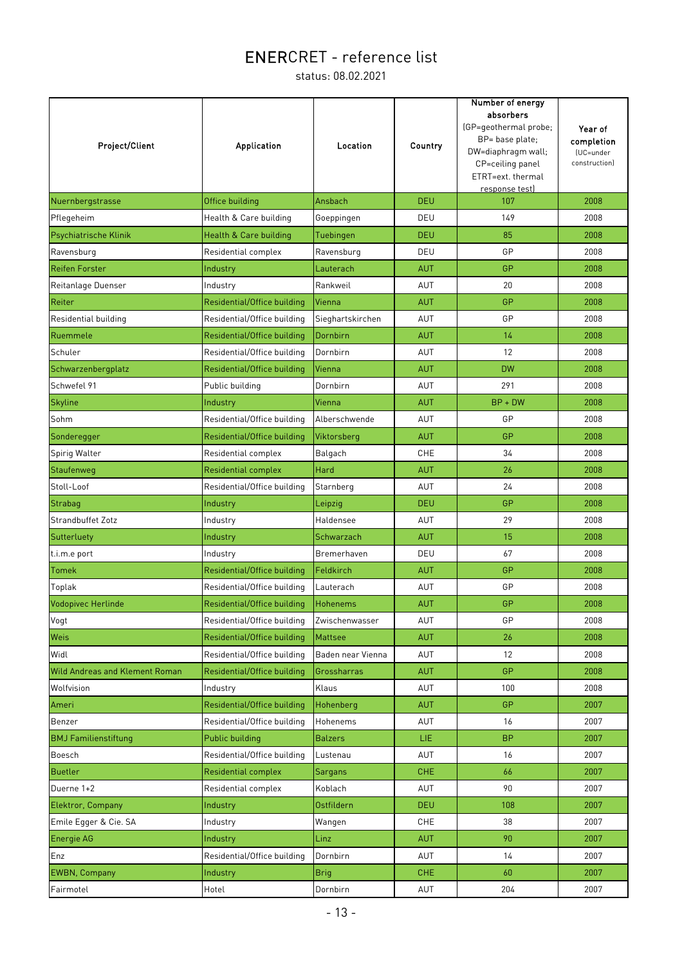| Project/Client                        | <b>Application</b>          | Location          | Country    | Number of energy<br>absorbers<br>(GP=geothermal probe;<br>BP= base plate;<br>DW=diaphragm wall;<br>CP=ceiling panel<br>ETRT=ext. thermal<br>response test) | Year of<br>completion<br>(UC=under<br>construction) |
|---------------------------------------|-----------------------------|-------------------|------------|------------------------------------------------------------------------------------------------------------------------------------------------------------|-----------------------------------------------------|
| Nuernbergstrasse                      | Office building             | Ansbach           | <b>DEU</b> | 107                                                                                                                                                        | 2008                                                |
| Pflegeheim                            | Health & Care building      | Goeppingen        | DEU        | 149                                                                                                                                                        | 2008                                                |
| Psychiatrische Klinik                 | Health & Care building      | Tuebingen         | <b>DEU</b> | 85                                                                                                                                                         | 2008                                                |
| Ravensburg                            | Residential complex         | Ravensburg        | DEU        | GP                                                                                                                                                         | 2008                                                |
| <b>Reifen Forster</b>                 | Industry                    | Lauterach         | <b>AUT</b> | GP                                                                                                                                                         | 2008                                                |
| Reitanlage Duenser                    | Industry                    | Rankweil          | AUT        | 20                                                                                                                                                         | 2008                                                |
| Reiter                                | Residential/Office building | Vienna            | <b>AUT</b> | GP                                                                                                                                                         | 2008                                                |
| Residential building                  | Residential/Office building | Sieghartskirchen  | <b>AUT</b> | GP                                                                                                                                                         | 2008                                                |
| Ruemmele                              | Residential/Office building | Dornbirn          | <b>AUT</b> | 14                                                                                                                                                         | 2008                                                |
| Schuler                               | Residential/Office building | Dornbirn          | AUT        | 12                                                                                                                                                         | 2008                                                |
| Schwarzenbergplatz                    | Residential/Office building | Vienna            | <b>AUT</b> | <b>DW</b>                                                                                                                                                  | 2008                                                |
| Schwefel 91                           | Public building             | Dornbirn          | AUT        | 291                                                                                                                                                        | 2008                                                |
| <b>Skyline</b>                        | Industry                    | Vienna            | <b>AUT</b> | $BP + DW$                                                                                                                                                  | 2008                                                |
| Sohm                                  | Residential/Office building | Alberschwende     | <b>AUT</b> | GP                                                                                                                                                         | 2008                                                |
| Sonderegger                           | Residential/Office building | Viktorsberg       | <b>AUT</b> | GP                                                                                                                                                         | 2008                                                |
| Spirig Walter                         | Residential complex         | Balgach           | CHE        | 34                                                                                                                                                         | 2008                                                |
| Staufenweg                            | <b>Residential complex</b>  | Hard              | <b>AUT</b> | 26                                                                                                                                                         | 2008                                                |
| Stoll-Loof                            | Residential/Office building | Starnberg         | AUT        | 24                                                                                                                                                         | 2008                                                |
| Strabag                               | Industry                    | Leipzig           | <b>DEU</b> | GP                                                                                                                                                         | 2008                                                |
| <b>Strandbuffet Zotz</b>              | Industry                    | Haldensee         | AUT        | 29                                                                                                                                                         | 2008                                                |
| Sutterluety                           | Industry                    | Schwarzach        | <b>AUT</b> | 15                                                                                                                                                         | 2008                                                |
| t.i.m.e port                          | Industry                    | Bremerhaven       | DEU        | 67                                                                                                                                                         | 2008                                                |
| Tomek                                 | Residential/Office building | Feldkirch         | <b>AUT</b> | GP                                                                                                                                                         | 2008                                                |
| Toplak                                | Residential/Office building | Lauterach         | AUT        | GP                                                                                                                                                         | 2008                                                |
| Vodopivec Herlinde                    | Residential/Office building | <b>Hohenems</b>   | <b>AUT</b> | GP                                                                                                                                                         | 2008                                                |
| Vogt                                  | Residential/Office building | Zwischenwasser    | AUT        | GP                                                                                                                                                         | 2008                                                |
| Weis                                  | Residential/Office building | <b>Mattsee</b>    | <b>AUT</b> | 26                                                                                                                                                         | 2008                                                |
| Widl                                  | Residential/Office building | Baden near Vienna | AUT        | 12                                                                                                                                                         | 2008                                                |
| <b>Wild Andreas and Klement Roman</b> | Residential/Office building | Grossharras       | <b>AUT</b> | <b>GP</b>                                                                                                                                                  | 2008                                                |
| Wolfvision                            | Industry                    | Klaus             | AUT        | 100                                                                                                                                                        | 2008                                                |
| Ameri                                 | Residential/Office building | Hohenberg         | <b>AUT</b> | GP                                                                                                                                                         | 2007                                                |
| Benzer                                | Residential/Office building | Hohenems          | AUT        | 16                                                                                                                                                         | 2007                                                |
| <b>BMJ</b> Familienstiftung           | Public building             | <b>Balzers</b>    | LIE.       | <b>BP</b>                                                                                                                                                  | 2007                                                |
| Boesch                                | Residential/Office building | Lustenau          | AUT        | 16                                                                                                                                                         | 2007                                                |
| <b>Buetler</b>                        | Residential complex         | Sargans           | CHE        | 66                                                                                                                                                         | 2007                                                |
| Duerne 1+2                            | Residential complex         | Koblach           | AUT        | 90                                                                                                                                                         | 2007                                                |
| Elektror, Company                     | Industry                    | <b>Ostfildern</b> | <b>DEU</b> | 108                                                                                                                                                        | 2007                                                |
| Emile Egger & Cie. SA                 | Industry                    | Wangen            | <b>CHE</b> | 38                                                                                                                                                         | 2007                                                |
| <b>Energie AG</b>                     | Industry                    | Linz              | <b>AUT</b> | 90                                                                                                                                                         | 2007                                                |
| Enz                                   | Residential/Office building | Dornbirn          | AUT        | 14                                                                                                                                                         | 2007                                                |
| <b>EWBN, Company</b>                  | Industry                    | <b>Brig</b>       | <b>CHE</b> | 60                                                                                                                                                         | 2007                                                |
| Fairmotel                             | Hotel                       | Dornbirn          | AUT        | 204                                                                                                                                                        | 2007                                                |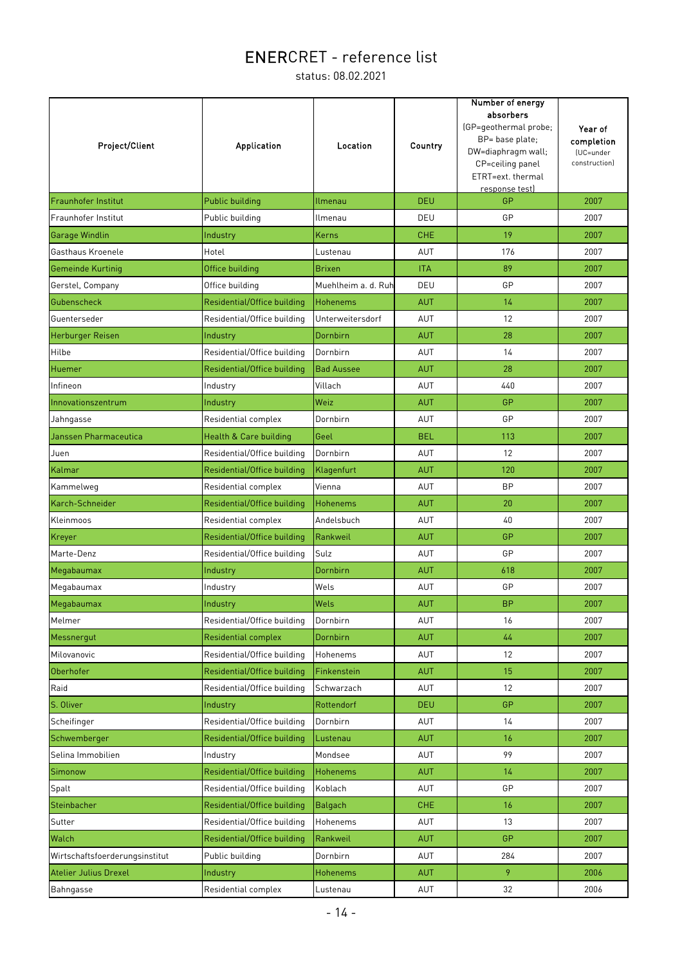| Project/Client                 | Application                 | Location            | Country    | Number of energy<br>absorbers<br>(GP=geothermal probe;<br>BP= base plate;<br>DW=diaphragm wall;<br>CP=ceiling panel<br>ETRT=ext. thermal<br>response test) | Year of<br>completion<br>(UC=under<br>construction) |
|--------------------------------|-----------------------------|---------------------|------------|------------------------------------------------------------------------------------------------------------------------------------------------------------|-----------------------------------------------------|
| <b>Fraunhofer Institut</b>     | Public building             | Ilmenau             | <b>DEU</b> | GP                                                                                                                                                         | 2007                                                |
| Fraunhofer Institut            | Public building             | Ilmenau             | DEU        | GP                                                                                                                                                         | 2007                                                |
| Garage Windlin                 | Industry                    | Kerns               | <b>CHE</b> | 19                                                                                                                                                         | 2007                                                |
| Gasthaus Kroenele              | Hotel                       | Lustenau            | AUT        | 176                                                                                                                                                        | 2007                                                |
| Gemeinde Kurtinig              | Office building             | <b>Brixen</b>       | <b>ITA</b> | 89                                                                                                                                                         | 2007                                                |
| Gerstel, Company               | Office building             | Muehlheim a. d. Ruh | DEU        | GP                                                                                                                                                         | 2007                                                |
| Gubenscheck                    | Residential/Office building | <b>Hohenems</b>     | <b>AUT</b> | 14                                                                                                                                                         | 2007                                                |
| Guenterseder                   | Residential/Office building | Unterweitersdorf    | AUT        | 12                                                                                                                                                         | 2007                                                |
| Herburger Reisen               | Industry                    | Dornbirn            | <b>AUT</b> | 28                                                                                                                                                         | 2007                                                |
| Hilbe                          | Residential/Office building | Dornbirn            | <b>AUT</b> | 14                                                                                                                                                         | 2007                                                |
| Huemer                         | Residential/Office building | <b>Bad Aussee</b>   | <b>AUT</b> | 28                                                                                                                                                         | 2007                                                |
| Infineon                       | Industry                    | Villach             | <b>AUT</b> | 440                                                                                                                                                        | 2007                                                |
| Innovationszentrum             | Industry                    | Weiz                | <b>AUT</b> | GP                                                                                                                                                         | 2007                                                |
| Jahngasse                      | Residential complex         | Dornbirn            | AUT        | GP                                                                                                                                                         | 2007                                                |
| Janssen Pharmaceutica          | Health & Care building      | Geel                | <b>BEL</b> | 113                                                                                                                                                        | 2007                                                |
| Juen                           | Residential/Office building | Dornbirn            | AUT        | 12                                                                                                                                                         | 2007                                                |
| Kalmar                         | Residential/Office building | Klagenfurt          | <b>AUT</b> | 120                                                                                                                                                        | 2007                                                |
| Kammelweg                      | Residential complex         | Vienna              | AUT        | <b>BP</b>                                                                                                                                                  | 2007                                                |
| Karch-Schneider                | Residential/Office building | <b>Hohenems</b>     | <b>AUT</b> | 20                                                                                                                                                         | 2007                                                |
| Kleinmoos                      | Residential complex         | Andelsbuch          | AUT        | 40                                                                                                                                                         | 2007                                                |
| Kreyer                         | Residential/Office building | Rankweil            | <b>AUT</b> | GP                                                                                                                                                         | 2007                                                |
| Marte-Denz                     | Residential/Office building | Sulz                | AUT        | GP                                                                                                                                                         | 2007                                                |
| Megabaumax                     | Industry                    | Dornbirn            | <b>AUT</b> | 618                                                                                                                                                        | 2007                                                |
| Megabaumax                     | Industry                    | Wels                | AUT        | GP                                                                                                                                                         | 2007                                                |
| Megabaumax                     | Industry                    | Wels                | <b>AUT</b> | <b>BP</b>                                                                                                                                                  | 2007                                                |
| Melmer                         | Residential/Office building | Dornbirn            | AUT        | 16                                                                                                                                                         | 2007                                                |
| Messnergut                     | Residential complex         | Dornbirn            | <b>AUT</b> | 44                                                                                                                                                         | 2007                                                |
| Milovanovic                    | Residential/Office building | Hohenems            | AUT        | 12                                                                                                                                                         | 2007                                                |
| Oberhofer                      | Residential/Office building | Finkenstein         | <b>AUT</b> | 15                                                                                                                                                         | 2007                                                |
| Raid                           | Residential/Office building | Schwarzach          | AUT        | 12                                                                                                                                                         | 2007                                                |
| S. Oliver                      | Industry                    | Rottendorf          | <b>DEU</b> | GP                                                                                                                                                         | 2007                                                |
| Scheifinger                    | Residential/Office building | Dornbirn            | AUT        | 14                                                                                                                                                         | 2007                                                |
| Schwemberger                   | Residential/Office building | Lustenau            | <b>AUT</b> | 16                                                                                                                                                         | 2007                                                |
| Selina Immobilien              | Industry                    | Mondsee             | AUT        | 99                                                                                                                                                         | 2007                                                |
| Simonow                        | Residential/Office building | Hohenems            | <b>AUT</b> | 14                                                                                                                                                         | 2007                                                |
| Spalt                          | Residential/Office building | Koblach             | AUT        | GP                                                                                                                                                         | 2007                                                |
| Steinbacher                    | Residential/Office building | Balgach             | CHE        | 16                                                                                                                                                         | 2007                                                |
| Sutter                         | Residential/Office building | Hohenems            | AUT        | 13                                                                                                                                                         | 2007                                                |
| Walch                          | Residential/Office building | Rankweil            | <b>AUT</b> | GP                                                                                                                                                         | 2007                                                |
| Wirtschaftsfoerderungsinstitut | Public building             | Dornbirn            | AUT        | 284                                                                                                                                                        | 2007                                                |
| <b>Atelier Julius Drexel</b>   | Industry                    | Hohenems            | <b>AUT</b> | 9                                                                                                                                                          | 2006                                                |
| Bahngasse                      | Residential complex         | Lustenau            | AUT        | 32                                                                                                                                                         | 2006                                                |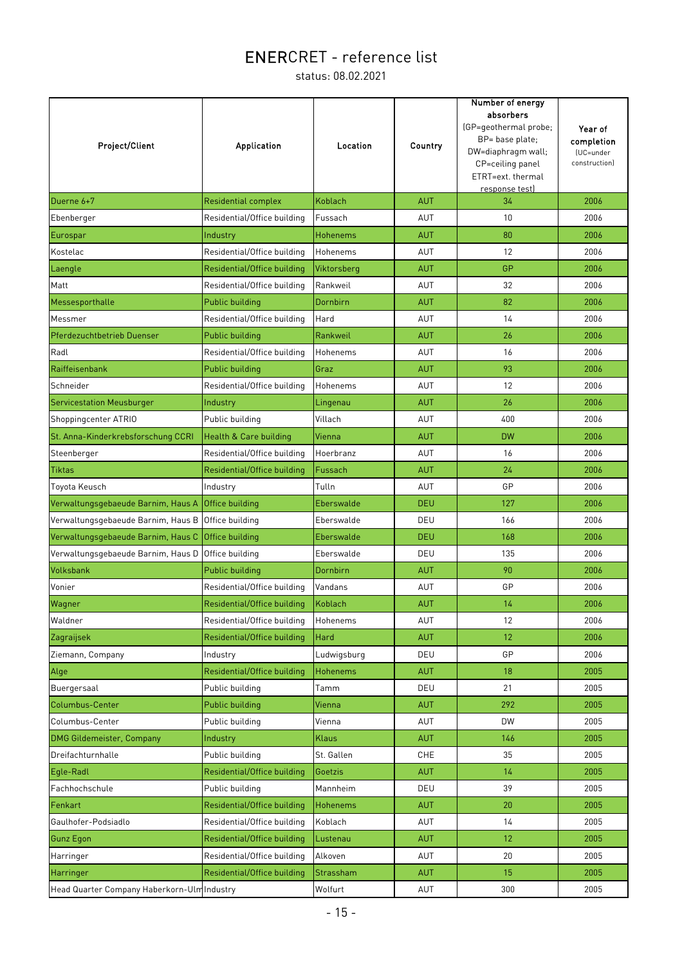| Project/Client                              | <b>Application</b>          | Location        | Country    | Number of energy<br>absorbers<br>(GP=geothermal probe;<br>BP= base plate;<br>DW=diaphragm wall;<br>CP=ceiling panel<br>ETRT=ext. thermal<br>response test) | Year of<br>completion<br>(UC=under<br>construction) |
|---------------------------------------------|-----------------------------|-----------------|------------|------------------------------------------------------------------------------------------------------------------------------------------------------------|-----------------------------------------------------|
| Duerne 6+7                                  | <b>Residential complex</b>  | Koblach         | <b>AUT</b> | 34                                                                                                                                                         | 2006                                                |
| Ebenberger                                  | Residential/Office building | Fussach         | AUT        | 10                                                                                                                                                         | 2006                                                |
| Eurospar                                    | Industry                    | <b>Hohenems</b> | <b>AUT</b> | 80                                                                                                                                                         | 2006                                                |
| Kostelac                                    | Residential/Office building | Hohenems        | AUT        | 12                                                                                                                                                         | 2006                                                |
| Laengle                                     | Residential/Office building | Viktorsberg     | <b>AUT</b> | GP                                                                                                                                                         | 2006                                                |
| Matt                                        | Residential/Office building | Rankweil        | AUT        | 32                                                                                                                                                         | 2006                                                |
| Messesporthalle                             | Public building             | Dornbirn        | <b>AUT</b> | 82                                                                                                                                                         | 2006                                                |
| Messmer                                     | Residential/Office building | Hard            | AUT        | 14                                                                                                                                                         | 2006                                                |
| <b>Pferdezuchtbetrieb Duenser</b>           | Public building             | Rankweil        | <b>AUT</b> | 26                                                                                                                                                         | 2006                                                |
| Radl                                        | Residential/Office building | Hohenems        | AUT        | 16                                                                                                                                                         | 2006                                                |
| Raiffeisenbank                              | Public building             | Graz            | <b>AUT</b> | 93                                                                                                                                                         | 2006                                                |
| Schneider                                   | Residential/Office building | Hohenems        | AUT        | 12                                                                                                                                                         | 2006                                                |
| <b>Servicestation Meusburger</b>            | Industry                    | Lingenau        | <b>AUT</b> | 26                                                                                                                                                         | 2006                                                |
| Shoppingcenter ATRIO                        | Public building             | Villach         | AUT        | 400                                                                                                                                                        | 2006                                                |
| St. Anna-Kinderkrebsforschung CCRI          | Health & Care building      | Vienna          | <b>AUT</b> | <b>DW</b>                                                                                                                                                  | 2006                                                |
| Steenberger                                 | Residential/Office building | Hoerbranz       | AUT        | 16                                                                                                                                                         | 2006                                                |
| <b>Tiktas</b>                               | Residential/Office building | Fussach         | <b>AUT</b> | 24                                                                                                                                                         | 2006                                                |
| Toyota Keusch                               | Industry                    | Tulln           | <b>AUT</b> | GP                                                                                                                                                         | 2006                                                |
| Verwaltungsgebaeude Barnim, Haus A          | Office building             | Eberswalde      | <b>DEU</b> | 127                                                                                                                                                        | 2006                                                |
| Verwaltungsgebaeude Barnim, Haus B          | Office building             | Eberswalde      | DEU        | 166                                                                                                                                                        | 2006                                                |
| Verwaltungsgebaeude Barnim, Haus C          | Office building             | Eberswalde      | <b>DEU</b> | 168                                                                                                                                                        | 2006                                                |
| Verwaltungsgebaeude Barnim, Haus D          | Office building             | Eberswalde      | DEU        | 135                                                                                                                                                        | 2006                                                |
| Volksbank                                   | Public building             | Dornbirn        | <b>AUT</b> | 90                                                                                                                                                         | 2006                                                |
| Vonier                                      | Residential/Office building | Vandans         | AUT        | GP                                                                                                                                                         | 2006                                                |
| Wagner                                      | Residential/Office building | <b>Koblach</b>  | <b>AUT</b> | 14                                                                                                                                                         | 2006                                                |
| Waldner                                     | Residential/Office building | Hohenems        | AUT        | 12                                                                                                                                                         | 2006                                                |
| Zagraijsek                                  | Residential/Office building | Hard            | <b>AUT</b> | 12                                                                                                                                                         | 2006                                                |
| Ziemann, Company                            | Industry                    | Ludwigsburg     | DEU        | GP                                                                                                                                                         | 2006                                                |
| Alge                                        | Residential/Office building | <b>Hohenems</b> | <b>AUT</b> | 18                                                                                                                                                         | 2005                                                |
| Buergersaal                                 | Public building             | Tamm            | DEU        | 21                                                                                                                                                         | 2005                                                |
| Columbus-Center                             | Public building             | Vienna          | <b>AUT</b> | 292                                                                                                                                                        | 2005                                                |
| Columbus-Center                             | Public building             | Vienna          | AUT        | <b>DW</b>                                                                                                                                                  | 2005                                                |
| <b>DMG Gildemeister, Company</b>            | Industry                    | Klaus           | <b>AUT</b> | 146                                                                                                                                                        | 2005                                                |
| Dreifachturnhalle                           | Public building             | St. Gallen      | CHE        | 35                                                                                                                                                         | 2005                                                |
| Egle-Radl                                   | Residential/Office building | Goetzis         | AUT        | 14                                                                                                                                                         | 2005                                                |
| Fachhochschule                              | Public building             | Mannheim        | DEU        | 39                                                                                                                                                         | 2005                                                |
| Fenkart                                     | Residential/Office building | Hohenems        | <b>AUT</b> | 20                                                                                                                                                         | 2005                                                |
| Gaulhofer-Podsiadlo                         | Residential/Office building | Koblach         | AUT        | 14                                                                                                                                                         | 2005                                                |
| <b>Gunz Egon</b>                            | Residential/Office building | Lustenau        | AUT        | 12                                                                                                                                                         | 2005                                                |
| Harringer                                   | Residential/Office building | Alkoven         | AUT        | 20                                                                                                                                                         | 2005                                                |
| Harringer                                   | Residential/Office building | Strassham       | <b>AUT</b> | 15                                                                                                                                                         | 2005                                                |
| Head Quarter Company Haberkorn-Ulm Industry |                             | Wolfurt         | AUT        | 300                                                                                                                                                        | 2005                                                |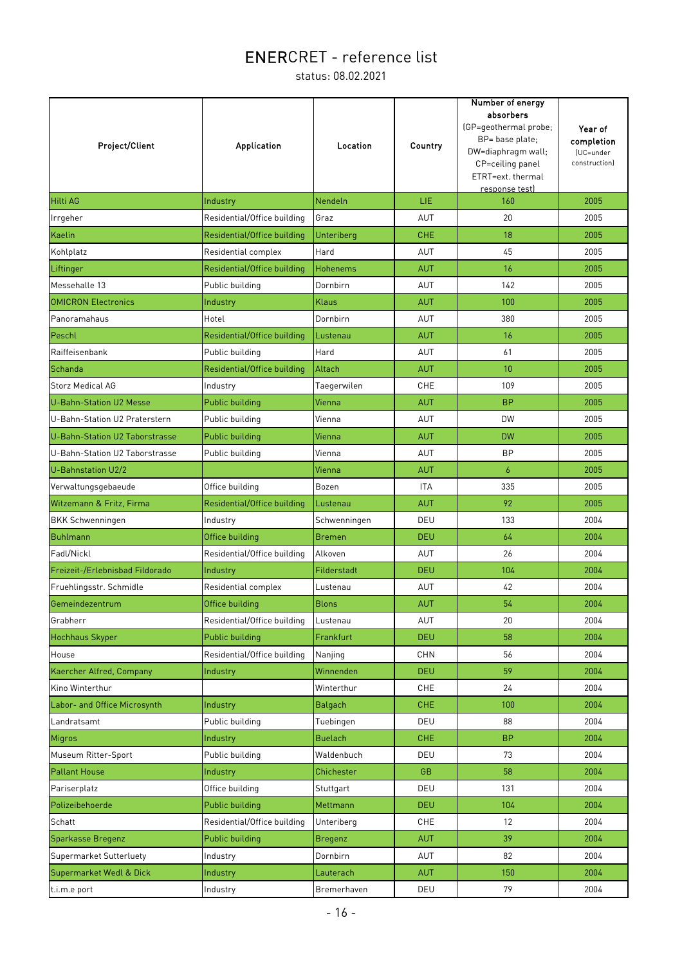| Project/Client                  | <b>Application</b>          | Location        | Country    | Number of energy<br>absorbers<br>(GP=geothermal probe;<br>BP= base plate;<br>DW=diaphragm wall;<br>CP=ceiling panel<br>ETRT=ext. thermal<br>response test) | Year of<br>completion<br>(UC=under<br>construction) |
|---------------------------------|-----------------------------|-----------------|------------|------------------------------------------------------------------------------------------------------------------------------------------------------------|-----------------------------------------------------|
| <b>Hilti AG</b>                 | Industry                    | <b>Nendeln</b>  | LIE.       | 160                                                                                                                                                        | 2005                                                |
| Irrgeher                        | Residential/Office building | Graz            | AUT        | 20                                                                                                                                                         | 2005                                                |
| <b>Kaelin</b>                   | Residential/Office building | Unteriberg      | <b>CHE</b> | 18                                                                                                                                                         | 2005                                                |
| Kohlplatz                       | Residential complex         | Hard            | AUT        | 45                                                                                                                                                         | 2005                                                |
| Liftinger                       | Residential/Office building | <b>Hohenems</b> | <b>AUT</b> | 16                                                                                                                                                         | 2005                                                |
| Messehalle 13                   | Public building             | Dornbirn        | AUT        | 142                                                                                                                                                        | 2005                                                |
| <b>OMICRON Electronics</b>      | Industry                    | <b>Klaus</b>    | <b>AUT</b> | 100                                                                                                                                                        | 2005                                                |
| Panoramahaus                    | Hotel                       | Dornbirn        | AUT        | 380                                                                                                                                                        | 2005                                                |
| Peschl                          | Residential/Office building | Lustenau        | <b>AUT</b> | 16                                                                                                                                                         | 2005                                                |
| Raiffeisenbank                  | Public building             | Hard            | AUT        | 61                                                                                                                                                         | 2005                                                |
| Schanda                         | Residential/Office building | Altach          | <b>AUT</b> | 10                                                                                                                                                         | 2005                                                |
| <b>Storz Medical AG</b>         | Industry                    | Taegerwilen     | CHE        | 109                                                                                                                                                        | 2005                                                |
| <b>U-Bahn-Station U2 Messe</b>  | Public building             | Vienna          | <b>AUT</b> | <b>BP</b>                                                                                                                                                  | 2005                                                |
| U-Bahn-Station U2 Praterstern   | Public building             | Vienna          | AUT        | <b>DW</b>                                                                                                                                                  | 2005                                                |
| U-Bahn-Station U2 Taborstrasse  | Public building             | Vienna          | <b>AUT</b> | <b>DW</b>                                                                                                                                                  | 2005                                                |
| U-Bahn-Station U2 Taborstrasse  | Public building             | Vienna          | AUT        | <b>BP</b>                                                                                                                                                  | 2005                                                |
| U-Bahnstation U2/2              |                             | Vienna          | <b>AUT</b> | $\overline{6}$                                                                                                                                             | 2005                                                |
| Verwaltungsgebaeude             | Office building             | Bozen           | <b>ITA</b> | 335                                                                                                                                                        | 2005                                                |
| Witzemann & Fritz, Firma        | Residential/Office building | Lustenau        | <b>AUT</b> | 92                                                                                                                                                         | 2005                                                |
| <b>BKK Schwenningen</b>         | Industry                    | Schwenningen    | DEU        | 133                                                                                                                                                        | 2004                                                |
| Buhlmann                        | Office building             | <b>Bremen</b>   | <b>DEU</b> | 64                                                                                                                                                         | 2004                                                |
| Fadl/Nickl                      | Residential/Office building | Alkoven         | AUT        | 26                                                                                                                                                         | 2004                                                |
| Freizeit-/Erlebnisbad Fildorado | Industry                    | Filderstadt     | <b>DEU</b> | 104                                                                                                                                                        | 2004                                                |
| Fruehlingsstr. Schmidle         | Residential complex         | Lustenau        | AUT        | 42                                                                                                                                                         | 2004                                                |
| Gemeindezentrum                 | Office building             | <b>Blons</b>    | <b>AUT</b> | 54                                                                                                                                                         | 2004                                                |
| Grabherr                        | Residential/Office building | Lustenau        | AUT        | 20                                                                                                                                                         | 2004                                                |
| <b>Hochhaus Skyper</b>          | Public building             | Frankfurt       | <b>DEU</b> | 58                                                                                                                                                         | 2004                                                |
| House                           | Residential/Office building | Nanjing         | <b>CHN</b> | 56                                                                                                                                                         | 2004                                                |
| Kaercher Alfred, Company        | Industry                    | Winnenden       | <b>DEU</b> | 59                                                                                                                                                         | 2004                                                |
| Kino Winterthur                 |                             | Winterthur      | CHE        | 24                                                                                                                                                         | 2004                                                |
| Labor- and Office Microsynth    | Industry                    | <b>Balgach</b>  | <b>CHE</b> | 100                                                                                                                                                        | 2004                                                |
| Landratsamt                     | Public building             | Tuebingen       | DEU        | 88                                                                                                                                                         | 2004                                                |
| Migros                          | Industry                    | <b>Buelach</b>  | <b>CHE</b> | <b>BP</b>                                                                                                                                                  | 2004                                                |
| Museum Ritter-Sport             | Public building             | Waldenbuch      | DEU        | 73                                                                                                                                                         | 2004                                                |
| <b>Pallant House</b>            | Industry                    | Chichester      | GB         | 58                                                                                                                                                         | 2004                                                |
| Pariserplatz                    | Office building             | Stuttgart       | DEU        | 131                                                                                                                                                        | 2004                                                |
| Polizeibehoerde                 | Public building             | Mettmann        | <b>DEU</b> | 104                                                                                                                                                        | 2004                                                |
| Schatt                          | Residential/Office building | Unteriberg      | CHE        | 12                                                                                                                                                         | 2004                                                |
| Sparkasse Bregenz               | Public building             | <b>Bregenz</b>  | <b>AUT</b> | 39                                                                                                                                                         | 2004                                                |
| Supermarket Sutterluety         | Industry                    | Dornbirn        | AUT        | 82                                                                                                                                                         | 2004                                                |
| Supermarket Wedl & Dick         | Industry                    | Lauterach       | <b>AUT</b> | 150                                                                                                                                                        | 2004                                                |
| t.i.m.e port                    | Industry                    | Bremerhaven     | DEU        | 79                                                                                                                                                         | 2004                                                |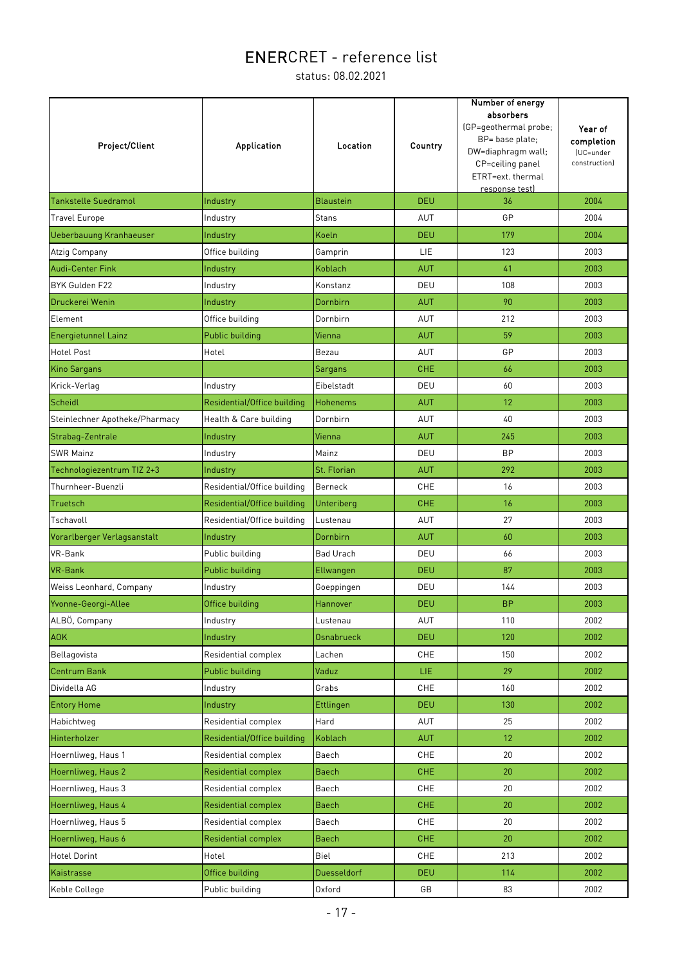| <b>Project/Client</b>          | Application                 | Location          | Country    | Number of energy<br>absorbers<br>(GP=geothermal probe;<br>BP= base plate;<br>DW=diaphragm wall;<br>CP=ceiling panel<br>ETRT=ext. thermal<br>response test) | Year of<br>completion<br>(UC=under<br>construction) |
|--------------------------------|-----------------------------|-------------------|------------|------------------------------------------------------------------------------------------------------------------------------------------------------------|-----------------------------------------------------|
| Tankstelle Suedramol           | Industry                    | <b>Blaustein</b>  | <b>DEU</b> | 36                                                                                                                                                         | 2004                                                |
| <b>Travel Europe</b>           | Industry                    | <b>Stans</b>      | AUT        | GP                                                                                                                                                         | 2004                                                |
| Ueberbauung Kranhaeuser        | Industry                    | Koeln             | <b>DEU</b> | 179                                                                                                                                                        | 2004                                                |
| Atzig Company                  | Office building             | Gamprin           | LIE        | 123                                                                                                                                                        | 2003                                                |
| Audi-Center Fink               | Industry                    | Koblach           | <b>AUT</b> | 41                                                                                                                                                         | 2003                                                |
| BYK Gulden F22                 | Industry                    | Konstanz          | DEU        | 108                                                                                                                                                        | 2003                                                |
| Druckerei Wenin                | Industry                    | Dornbirn          | <b>AUT</b> | 90                                                                                                                                                         | 2003                                                |
| Element                        | Office building             | Dornbirn          | AUT        | 212                                                                                                                                                        | 2003                                                |
| <b>Energietunnel Lainz</b>     | <b>Public building</b>      | Vienna            | <b>AUT</b> | 59                                                                                                                                                         | 2003                                                |
| <b>Hotel Post</b>              | Hotel                       | Bezau             | AUT        | GP                                                                                                                                                         | 2003                                                |
| Kino Sargans                   |                             | Sargans           | CHE.       | 66                                                                                                                                                         | 2003                                                |
| Krick-Verlag                   | Industry                    | Eibelstadt        | DEU        | 60                                                                                                                                                         | 2003                                                |
| Scheidl                        | Residential/Office building | <b>Hohenems</b>   | <b>AUT</b> | 12                                                                                                                                                         | 2003                                                |
| Steinlechner Apotheke/Pharmacy | Health & Care building      | Dornbirn          | AUT        | 40                                                                                                                                                         | 2003                                                |
| Strabag-Zentrale               | Industry                    | Vienna            | <b>AUT</b> | 245                                                                                                                                                        | 2003                                                |
| <b>SWR Mainz</b>               | Industry                    | Mainz             | DEU        | <b>BP</b>                                                                                                                                                  | 2003                                                |
| Technologiezentrum TIZ 2+3     | Industry                    | St. Florian       | <b>AUT</b> | 292                                                                                                                                                        | 2003                                                |
| Thurnheer-Buenzli              | Residential/Office building | Berneck           | <b>CHE</b> | 16                                                                                                                                                         | 2003                                                |
| Truetsch                       | Residential/Office building | Unteriberg        | <b>CHE</b> | 16                                                                                                                                                         | 2003                                                |
| Tschavoll                      | Residential/Office building | Lustenau          | AUT        | 27                                                                                                                                                         | 2003                                                |
| Vorarlberger Verlagsanstalt    | Industry                    | Dornbirn          | <b>AUT</b> | 60                                                                                                                                                         | 2003                                                |
| VR-Bank                        | Public building             | <b>Bad Urach</b>  | DEU        | 66                                                                                                                                                         | 2003                                                |
| VR-Bank                        | Public building             | Ellwangen         | <b>DEU</b> | 87                                                                                                                                                         | 2003                                                |
| Weiss Leonhard, Company        | Industry                    | Goeppingen        | DEU        | 144                                                                                                                                                        | 2003                                                |
| Yvonne-Georgi-Allee            | Office building             | Hannover          | <b>DEU</b> | <b>BP</b>                                                                                                                                                  | 2003                                                |
| ALBÖ, Company                  | Industry                    | Lustenau          | AUT        | 110                                                                                                                                                        | 2002                                                |
| <b>AOK</b>                     | Industry                    | <b>Osnabrueck</b> | <b>DEU</b> | 120                                                                                                                                                        | 2002                                                |
| Bellagovista                   | Residential complex         | Lachen            | CHE        | 150                                                                                                                                                        | 2002                                                |
| Centrum Bank                   | Public building             | Vaduz             | LIE.       | 29                                                                                                                                                         | 2002                                                |
| Dividella AG                   | Industry                    | Grabs             | CHE        | 160                                                                                                                                                        | 2002                                                |
| <b>Entory Home</b>             | Industry                    | Ettlingen         | <b>DEU</b> | 130                                                                                                                                                        | 2002                                                |
| Habichtweg                     | Residential complex         | Hard              | AUT        | 25                                                                                                                                                         | 2002                                                |
| Hinterholzer                   | Residential/Office building | Koblach           | <b>AUT</b> | 12                                                                                                                                                         | 2002                                                |
| Hoernliweg, Haus 1             | Residential complex         | Baech             | CHE        | 20                                                                                                                                                         | 2002                                                |
| Hoernliweg, Haus 2             | Residential complex         | <b>Baech</b>      | <b>CHE</b> | 20                                                                                                                                                         | 2002                                                |
| Hoernliweg, Haus 3             | Residential complex         | Baech             | <b>CHE</b> | 20                                                                                                                                                         | 2002                                                |
| Hoernliweg, Haus 4             | Residential complex         | <b>Baech</b>      | <b>CHE</b> | 20                                                                                                                                                         | 2002                                                |
| Hoernliweg, Haus 5             | Residential complex         | Baech             | CHE        | 20                                                                                                                                                         | 2002                                                |
| Hoernliweg, Haus 6             | <b>Residential complex</b>  | <b>Baech</b>      | <b>CHE</b> | 20                                                                                                                                                         | 2002                                                |
| <b>Hotel Dorint</b>            | Hotel                       | Biel              | <b>CHE</b> | 213                                                                                                                                                        | 2002                                                |
| Kaistrasse                     | Office building             | Duesseldorf       | <b>DEU</b> | 114                                                                                                                                                        | 2002                                                |
| Keble College                  | Public building             | Oxford            | GB         | 83                                                                                                                                                         | 2002                                                |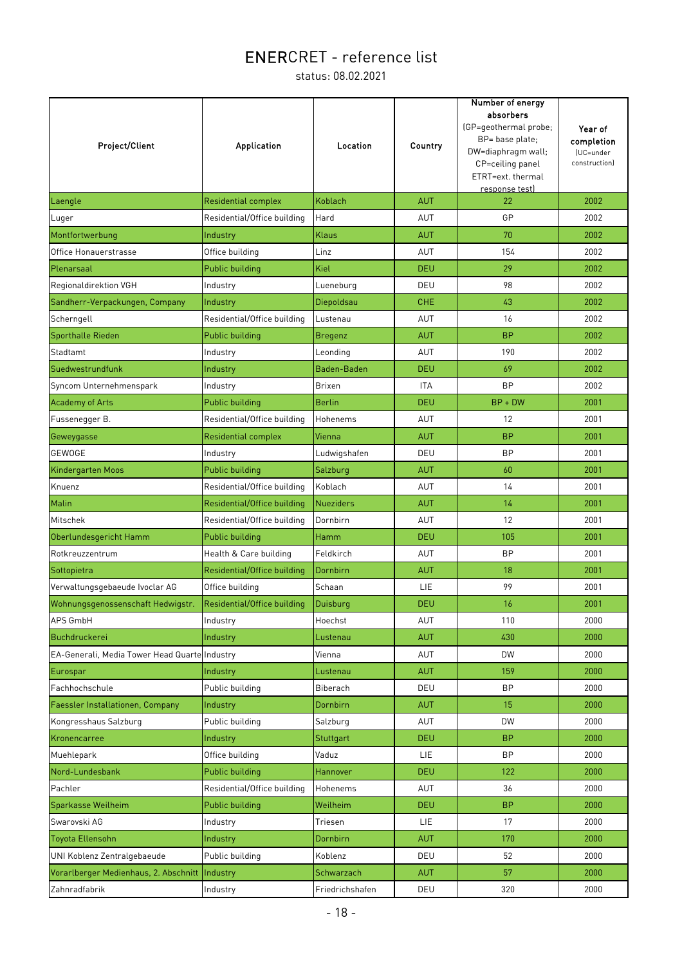| Project/Client                                | <b>Application</b>          | Location         | Country    | Number of energy<br>absorbers<br>(GP=geothermal probe;<br>BP= base plate;<br>DW=diaphragm wall;<br>CP=ceiling panel<br>ETRT=ext. thermal<br>response test) | Year of<br>completion<br>(UC=under<br>construction) |
|-----------------------------------------------|-----------------------------|------------------|------------|------------------------------------------------------------------------------------------------------------------------------------------------------------|-----------------------------------------------------|
| Laengle                                       | Residential complex         | Koblach          | <b>AUT</b> | 22                                                                                                                                                         | 2002                                                |
| Luger                                         | Residential/Office building | Hard             | AUT        | GP                                                                                                                                                         | 2002                                                |
| Montfortwerbung                               | Industry                    | Klaus            | <b>AUT</b> | 70                                                                                                                                                         | 2002                                                |
| Office Honauerstrasse                         | Office building             | Linz             | AUT        | 154                                                                                                                                                        | 2002                                                |
| Plenarsaal                                    | Public building             | Kiel             | <b>DEU</b> | 29                                                                                                                                                         | 2002                                                |
| Regionaldirektion VGH                         | Industry                    | Lueneburg        | DEU        | 98                                                                                                                                                         | 2002                                                |
| Sandherr-Verpackungen, Company                | Industry                    | Diepoldsau       | <b>CHE</b> | 43                                                                                                                                                         | 2002                                                |
| Scherngell                                    | Residential/Office building | Lustenau         | <b>AUT</b> | 16                                                                                                                                                         | 2002                                                |
| Sporthalle Rieden                             | Public building             | <b>Bregenz</b>   | <b>AUT</b> | <b>BP</b>                                                                                                                                                  | 2002                                                |
| Stadtamt                                      | Industry                    | Leonding         | AUT        | 190                                                                                                                                                        | 2002                                                |
| Suedwestrundfunk                              | Industry                    | Baden-Baden      | <b>DEU</b> | 69                                                                                                                                                         | 2002                                                |
| Syncom Unternehmenspark                       | Industry                    | <b>Brixen</b>    | <b>ITA</b> | <b>BP</b>                                                                                                                                                  | 2002                                                |
| <b>Academy of Arts</b>                        | Public building             | <b>Berlin</b>    | <b>DEU</b> | $BP + DW$                                                                                                                                                  | 2001                                                |
| Fussenegger B.                                | Residential/Office building | Hohenems         | <b>AUT</b> | 12                                                                                                                                                         | 2001                                                |
| Geweygasse                                    | <b>Residential complex</b>  | Vienna           | <b>AUT</b> | <b>BP</b>                                                                                                                                                  | 2001                                                |
| GEWOGE                                        | Industry                    | Ludwigshafen     | DEU        | <b>BP</b>                                                                                                                                                  | 2001                                                |
| Kindergarten Moos                             | Public building             | Salzburg         | <b>AUT</b> | 60                                                                                                                                                         | 2001                                                |
| Knuenz                                        | Residential/Office building | Koblach          | AUT        | 14                                                                                                                                                         | 2001                                                |
| Malin                                         | Residential/Office building | <b>Nueziders</b> | <b>AUT</b> | 14                                                                                                                                                         | 2001                                                |
| Mitschek                                      | Residential/Office building | Dornbirn         | AUT        | 12                                                                                                                                                         | 2001                                                |
| Oberlundesgericht Hamm                        | <b>Public building</b>      | Hamm             | <b>DEU</b> | 105                                                                                                                                                        | 2001                                                |
| Rotkreuzzentrum                               | Health & Care building      | Feldkirch        | AUT        | <b>BP</b>                                                                                                                                                  | 2001                                                |
| Sottopietra                                   | Residential/Office building | Dornbirn         | <b>AUT</b> | 18                                                                                                                                                         | 2001                                                |
| Verwaltungsgebaeude Ivoclar AG                | Office building             | Schaan           | LIE        | 99                                                                                                                                                         | 2001                                                |
| Wohnungsgenossenschaft Hedwigstr.             | Residential/Office building | Duisburg         | <b>DEU</b> | 16                                                                                                                                                         | 2001                                                |
| APS GmbH                                      | Industry                    | Hoechst          | AUT        | 110                                                                                                                                                        | 2000                                                |
| Buchdruckerei                                 | Industry                    | Lustenau         | <b>AUT</b> | 430                                                                                                                                                        | 2000                                                |
| EA-Generali, Media Tower Head Quarte Industry |                             | Vienna           | AUT        | <b>DW</b>                                                                                                                                                  | 2000                                                |
| Eurospar                                      | Industry                    | Lustenau         | <b>AUT</b> | 159                                                                                                                                                        | 2000                                                |
| Fachhochschule                                | Public building             | Biberach         | DEU        | <b>BP</b>                                                                                                                                                  | 2000                                                |
| Faessler Installationen, Company              | Industry                    | Dornbirn         | <b>AUT</b> | 15                                                                                                                                                         | 2000                                                |
| Kongresshaus Salzburg                         | Public building             | Salzburg         | AUT        | DW                                                                                                                                                         | 2000                                                |
| Kronencarree                                  | Industry                    | Stuttgart        | DEU        | <b>BP</b>                                                                                                                                                  | 2000                                                |
| Muehlepark                                    | Office building             | Vaduz            | LIE.       | <b>BP</b>                                                                                                                                                  | 2000                                                |
| Nord-Lundesbank                               | Public building             | Hannover         | <b>DEU</b> | 122                                                                                                                                                        | 2000                                                |
| Pachler                                       | Residential/Office building | Hohenems         | AUT        | 36                                                                                                                                                         | 2000                                                |
| Sparkasse Weilheim                            | Public building             | Weilheim         | DEU.       | <b>BP</b>                                                                                                                                                  | 2000                                                |
| Swarovski AG                                  | Industry                    | Triesen          | LIE.       | 17                                                                                                                                                         | 2000                                                |
| Toyota Ellensohn                              | Industry                    | Dornbirn         | <b>AUT</b> | 170                                                                                                                                                        | 2000                                                |
| UNI Koblenz Zentralgebaeude                   | Public building             | Koblenz          | DEU        | 52                                                                                                                                                         | 2000                                                |
| Vorarlberger Medienhaus, 2. Abschnitt         | Industry                    | Schwarzach       | <b>AUT</b> | 57                                                                                                                                                         | 2000                                                |
| Zahnradfabrik                                 | Industry                    | Friedrichshafen  | DEU        | 320                                                                                                                                                        | 2000                                                |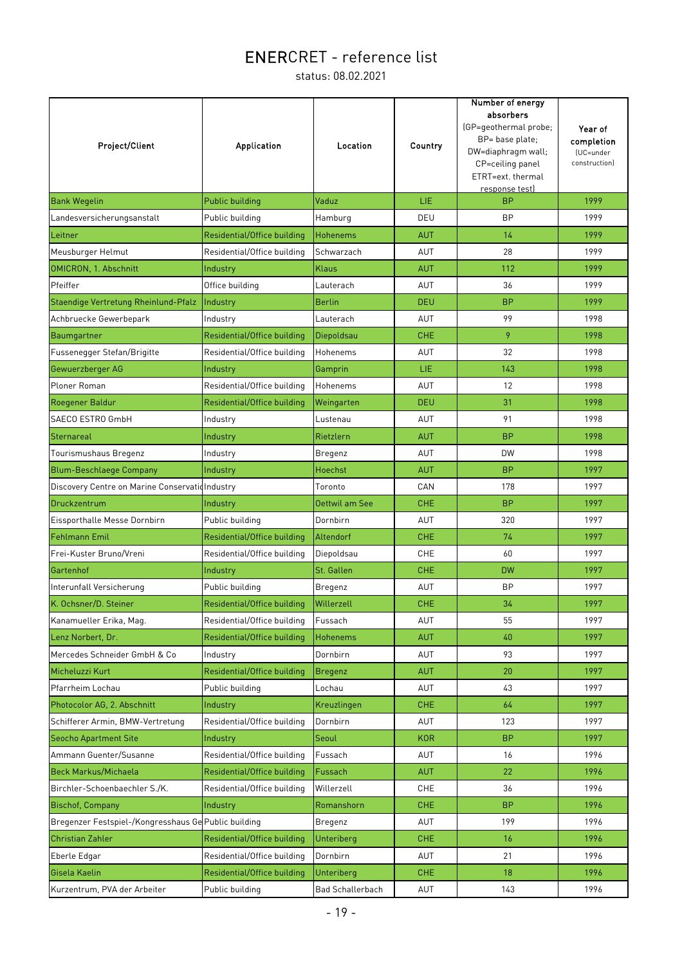| Project/Client                                       | Application                 | Location                | Country    | Number of energy<br>absorbers<br>(GP=geothermal probe;<br>BP= base plate;<br>DW=diaphragm wall;<br>CP=ceiling panel<br>ETRT=ext. thermal<br>response test) | Year of<br>completion<br>(UC=under<br>construction) |
|------------------------------------------------------|-----------------------------|-------------------------|------------|------------------------------------------------------------------------------------------------------------------------------------------------------------|-----------------------------------------------------|
| <b>Bank Wegelin</b>                                  | Public building             | Vaduz                   | LIE.       | <b>BP</b>                                                                                                                                                  | 1999                                                |
| Landesversicherungsanstalt                           | Public building             | Hamburg                 | DEU        | <b>BP</b>                                                                                                                                                  | 1999                                                |
| Leitner                                              | Residential/Office building | <b>Hohenems</b>         | <b>AUT</b> | 14                                                                                                                                                         | 1999                                                |
| Meusburger Helmut                                    | Residential/Office building | Schwarzach              | AUT        | 28                                                                                                                                                         | 1999                                                |
| OMICRON, 1. Abschnitt                                | Industry                    | Klaus                   | <b>AUT</b> | 112                                                                                                                                                        | 1999                                                |
| Pfeiffer                                             | Office building             | Lauterach               | <b>AUT</b> | 36                                                                                                                                                         | 1999                                                |
| Staendige Vertretung Rheinlund-Pfalz                 | Industry                    | <b>Berlin</b>           | <b>DEU</b> | <b>BP</b>                                                                                                                                                  | 1999                                                |
| Achbruecke Gewerbepark                               | Industry                    | Lauterach               | AUT        | 99                                                                                                                                                         | 1998                                                |
| Baumgartner                                          | Residential/Office building | Diepoldsau              | <b>CHE</b> | 9                                                                                                                                                          | 1998                                                |
| Fussenegger Stefan/Brigitte                          | Residential/Office building | Hohenems                | <b>AUT</b> | 32                                                                                                                                                         | 1998                                                |
| Gewuerzberger AG                                     | Industry                    | Gamprin                 | LIE.       | 143                                                                                                                                                        | 1998                                                |
| Ploner Roman                                         | Residential/Office building | Hohenems                | AUT        | 12                                                                                                                                                         | 1998                                                |
| Roegener Baldur                                      | Residential/Office building | Weingarten              | <b>DEU</b> | 31                                                                                                                                                         | 1998                                                |
| SAECO ESTRO GmbH                                     | Industry                    | Lustenau                | AUT        | 91                                                                                                                                                         | 1998                                                |
| Sternareal                                           | Industry                    | Rietzlern               | <b>AUT</b> | <b>BP</b>                                                                                                                                                  | 1998                                                |
| Tourismushaus Bregenz                                | Industry                    | Bregenz                 | AUT        | <b>DW</b>                                                                                                                                                  | 1998                                                |
| <b>Blum-Beschlaege Company</b>                       | Industry                    | Hoechst                 | <b>AUT</b> | <b>BP</b>                                                                                                                                                  | 1997                                                |
| Discovery Centre on Marine Conservationndustry       |                             | Toronto                 | CAN        | 178                                                                                                                                                        | 1997                                                |
| Druckzentrum                                         | Industry                    | Oettwil am See          | <b>CHE</b> | <b>BP</b>                                                                                                                                                  | 1997                                                |
| Eissporthalle Messe Dornbirn                         | Public building             | Dornbirn                | AUT        | 320                                                                                                                                                        | 1997                                                |
| <b>Fehlmann Emil</b>                                 | Residential/Office building | Altendorf               | <b>CHE</b> | 74                                                                                                                                                         | 1997                                                |
| Frei-Kuster Bruno/Vreni                              | Residential/Office building | Diepoldsau              | CHE        | 60                                                                                                                                                         | 1997                                                |
| Gartenhof                                            | Industry                    | St. Gallen              | <b>CHE</b> | <b>DW</b>                                                                                                                                                  | 1997                                                |
| Interunfall Versicherung                             | Public building             | Bregenz                 | AUT        | <b>BP</b>                                                                                                                                                  | 1997                                                |
| K. Ochsner/D. Steiner                                | Residential/Office building | Willerzell              | <b>CHE</b> | 34                                                                                                                                                         | 1997                                                |
| Kanamueller Erika, Mag.                              | Residential/Office building | Fussach                 | AUT        | 55                                                                                                                                                         | 1997                                                |
| Lenz Norbert, Dr.                                    | Residential/Office building | <b>Hohenems</b>         | AUT        | 40                                                                                                                                                         | 1997                                                |
| Mercedes Schneider GmbH & Co                         | Industry                    | Dornbirn                | AUT        | 93                                                                                                                                                         | 1997                                                |
| Micheluzzi Kurt                                      | Residential/Office building | <b>Bregenz</b>          | <b>AUT</b> | 20                                                                                                                                                         | 1997                                                |
| Pfarrheim Lochau                                     | Public building             | Lochau                  | AUT        | 43                                                                                                                                                         | 1997                                                |
| Photocolor AG, 2. Abschnitt                          | Industry                    | Kreuzlingen             | <b>CHE</b> | 64                                                                                                                                                         | 1997                                                |
| Schifferer Armin, BMW-Vertretung                     | Residential/Office building | Dornbirn                | AUT        | 123                                                                                                                                                        | 1997                                                |
| <b>Seocho Apartment Site</b>                         | Industry                    | Seoul                   | <b>KOR</b> | <b>BP</b>                                                                                                                                                  | 1997                                                |
| Ammann Guenter/Susanne                               | Residential/Office building | Fussach                 | AUT        | 16                                                                                                                                                         | 1996                                                |
| Beck Markus/Michaela                                 | Residential/Office building | Fussach                 | <b>AUT</b> | 22                                                                                                                                                         | 1996                                                |
| Birchler-Schoenbaechler S./K.                        | Residential/Office building | Willerzell              | CHE        | 36                                                                                                                                                         | 1996                                                |
| <b>Bischof, Company</b>                              | Industry                    | Romanshorn              | <b>CHE</b> | <b>BP</b>                                                                                                                                                  | 1996                                                |
| Bregenzer Festspiel-/Kongresshaus Ge Public building |                             | Bregenz                 | AUT        | 199                                                                                                                                                        | 1996                                                |
| <b>Christian Zahler</b>                              | Residential/Office building | Unteriberg              | <b>CHE</b> | 16                                                                                                                                                         | 1996                                                |
| Eberle Edgar                                         | Residential/Office building | Dornbirn                | AUT        | 21                                                                                                                                                         | 1996                                                |
| Gisela Kaelin                                        | Residential/Office building | Unteriberg              | <b>CHE</b> | 18                                                                                                                                                         | 1996                                                |
| Kurzentrum, PVA der Arbeiter                         | Public building             | <b>Bad Schallerbach</b> | AUT        | 143                                                                                                                                                        | 1996                                                |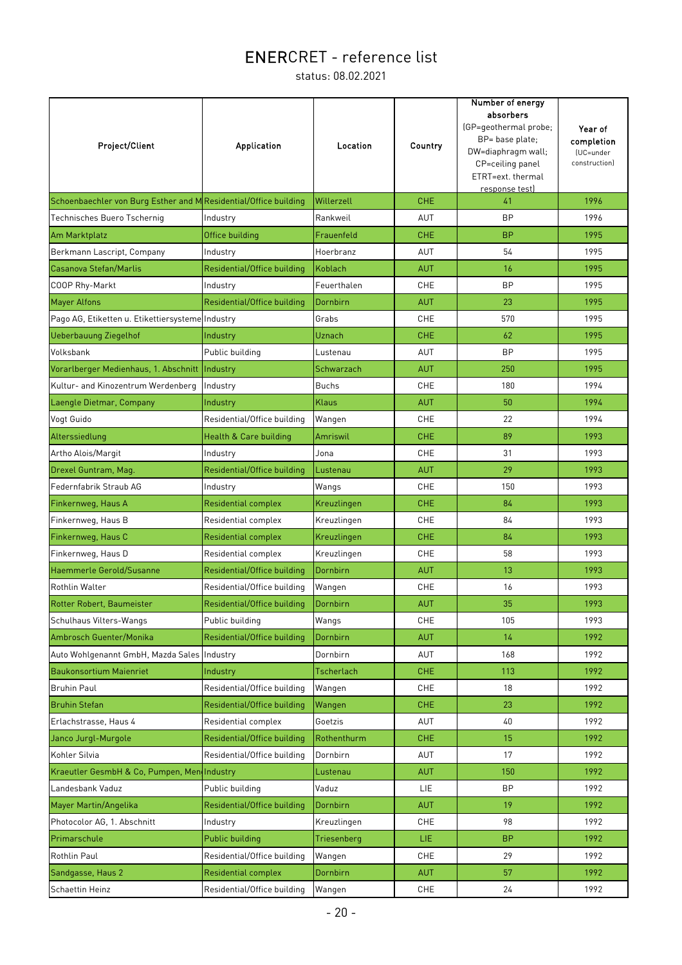| Project/Client                                                   | <b>Application</b>          | Location     | Country    | Number of energy<br>absorbers<br>(GP=geothermal probe;<br>BP= base plate;<br>DW=diaphragm wall;<br>CP=ceiling panel<br>ETRT=ext. thermal<br>response test) | Year of<br>completion<br>(UC=under<br>construction) |
|------------------------------------------------------------------|-----------------------------|--------------|------------|------------------------------------------------------------------------------------------------------------------------------------------------------------|-----------------------------------------------------|
| Schoenbaechler von Burg Esther and M Residential/Office building |                             | Willerzell   | <b>CHE</b> | 41                                                                                                                                                         | 1996                                                |
| Technisches Buero Tschernig                                      | Industry                    | Rankweil     | AUT        | <b>BP</b>                                                                                                                                                  | 1996                                                |
| Am Marktplatz                                                    | Office building             | Frauenfeld   | <b>CHE</b> | <b>BP</b>                                                                                                                                                  | 1995                                                |
| Berkmann Lascript, Company                                       | Industry                    | Hoerbranz    | AUT        | 54                                                                                                                                                         | 1995                                                |
| Casanova Stefan/Marlis                                           | Residential/Office building | Koblach      | <b>AUT</b> | 16                                                                                                                                                         | 1995                                                |
| COOP Rhy-Markt                                                   | Industry                    | Feuerthalen  | <b>CHE</b> | <b>BP</b>                                                                                                                                                  | 1995                                                |
| <b>Mayer Alfons</b>                                              | Residential/Office building | Dornbirn     | <b>AUT</b> | 23                                                                                                                                                         | 1995                                                |
| Pago AG, Etiketten u. Etikettiersysteme Industry                 |                             | Grabs        | <b>CHE</b> | 570                                                                                                                                                        | 1995                                                |
| <b>Ueberbauung Ziegelhof</b>                                     | Industry                    | Uznach       | <b>CHE</b> | 62                                                                                                                                                         | 1995                                                |
| Volksbank                                                        | Public building             | Lustenau     | AUT        | <b>BP</b>                                                                                                                                                  | 1995                                                |
| Vorarlberger Medienhaus, 1. Abschnitt                            | Industry                    | Schwarzach   | <b>AUT</b> | 250                                                                                                                                                        | 1995                                                |
| Kultur- and Kinozentrum Werdenberg                               | Industry                    | <b>Buchs</b> | <b>CHE</b> | 180                                                                                                                                                        | 1994                                                |
| Laengle Dietmar, Company                                         | Industry                    | <b>Klaus</b> | <b>AUT</b> | 50                                                                                                                                                         | 1994                                                |
| Vogt Guido                                                       | Residential/Office building | Wangen       | CHE        | 22                                                                                                                                                         | 1994                                                |
| Alterssiedlung                                                   | Health & Care building      | Amriswil     | <b>CHE</b> | 89                                                                                                                                                         | 1993                                                |
| Artho Alois/Margit                                               | Industry                    | Jona         | <b>CHE</b> | 31                                                                                                                                                         | 1993                                                |
| Drexel Guntram, Mag.                                             | Residential/Office building | Lustenau     | <b>AUT</b> | 29                                                                                                                                                         | 1993                                                |
| Federnfabrik Straub AG                                           | Industry                    | Wangs        | CHE        | 150                                                                                                                                                        | 1993                                                |
| Finkernweg, Haus A                                               | <b>Residential complex</b>  | Kreuzlingen  | <b>CHE</b> | 84                                                                                                                                                         | 1993                                                |
| Finkernweg, Haus B                                               | Residential complex         | Kreuzlingen  | <b>CHE</b> | 84                                                                                                                                                         | 1993                                                |
| Finkernweg, Haus C                                               | Residential complex         | Kreuzlingen  | <b>CHE</b> | 84                                                                                                                                                         | 1993                                                |
| Finkernweg, Haus D                                               | Residential complex         | Kreuzlingen  | CHE        | 58                                                                                                                                                         | 1993                                                |
| Haemmerle Gerold/Susanne                                         | Residential/Office building | Dornbirn     | <b>AUT</b> | 13                                                                                                                                                         | 1993                                                |
| <b>Rothlin Walter</b>                                            | Residential/Office building | Wangen       | CHE        | 16                                                                                                                                                         | 1993                                                |
| Rotter Robert, Baumeister                                        | Residential/Office building | Dornbirn     | <b>AUT</b> | 35                                                                                                                                                         | 1993                                                |
| Schulhaus Vilters-Wangs                                          | Public building             | Wangs        | CHE        | 105                                                                                                                                                        | 1993                                                |
| Ambrosch Guenter/Monika                                          | Residential/Office building | Dornbirn     | <b>AUT</b> | 14                                                                                                                                                         | 1992                                                |
| Auto Wohlgenannt GmbH, Mazda Sales Industry                      |                             | Dornbirn     | AUT        | 168                                                                                                                                                        | 1992                                                |
| <b>Baukonsortium Maienriet</b>                                   | Industry                    | Tscherlach   | <b>CHE</b> | 113                                                                                                                                                        | 1992                                                |
| <b>Bruhin Paul</b>                                               | Residential/Office building | Wangen       | CHE        | 18                                                                                                                                                         | 1992                                                |
| <b>Bruhin Stefan</b>                                             | Residential/Office building | Wangen       | <b>CHE</b> | 23                                                                                                                                                         | 1992                                                |
| Erlachstrasse, Haus 4                                            | Residential complex         | Goetzis      | AUT        | 40                                                                                                                                                         | 1992                                                |
| Janco Jurgl-Murgole                                              | Residential/Office building | Rothenthurm  | <b>CHE</b> | 15                                                                                                                                                         | 1992                                                |
| Kohler Silvia                                                    | Residential/Office building | Dornbirn     | AUT        | 17                                                                                                                                                         | 1992                                                |
| Kraeutler GesmbH & Co, Pumpen, MendIndustry                      |                             | Lustenau     | <b>AUT</b> | 150                                                                                                                                                        | 1992                                                |
| Landesbank Vaduz                                                 | Public building             | Vaduz        | LIE        | <b>BP</b>                                                                                                                                                  | 1992                                                |
| Mayer Martin/Angelika                                            | Residential/Office building | Dornbirn     | <b>AUT</b> | 19                                                                                                                                                         | 1992                                                |
| Photocolor AG, 1. Abschnitt                                      | Industry                    | Kreuzlingen  | CHE        | 98                                                                                                                                                         | 1992                                                |
| Primarschule                                                     | Public building             | Triesenberg  | LIE.       | <b>BP</b>                                                                                                                                                  | 1992                                                |
| Rothlin Paul                                                     | Residential/Office building | Wangen       | CHE        | 29                                                                                                                                                         | 1992                                                |
| Sandgasse, Haus 2                                                | <b>Residential complex</b>  | Dornbirn     | <b>AUT</b> | 57                                                                                                                                                         | 1992                                                |
| Schaettin Heinz                                                  | Residential/Office building | Wangen       | CHE        | 24                                                                                                                                                         | 1992                                                |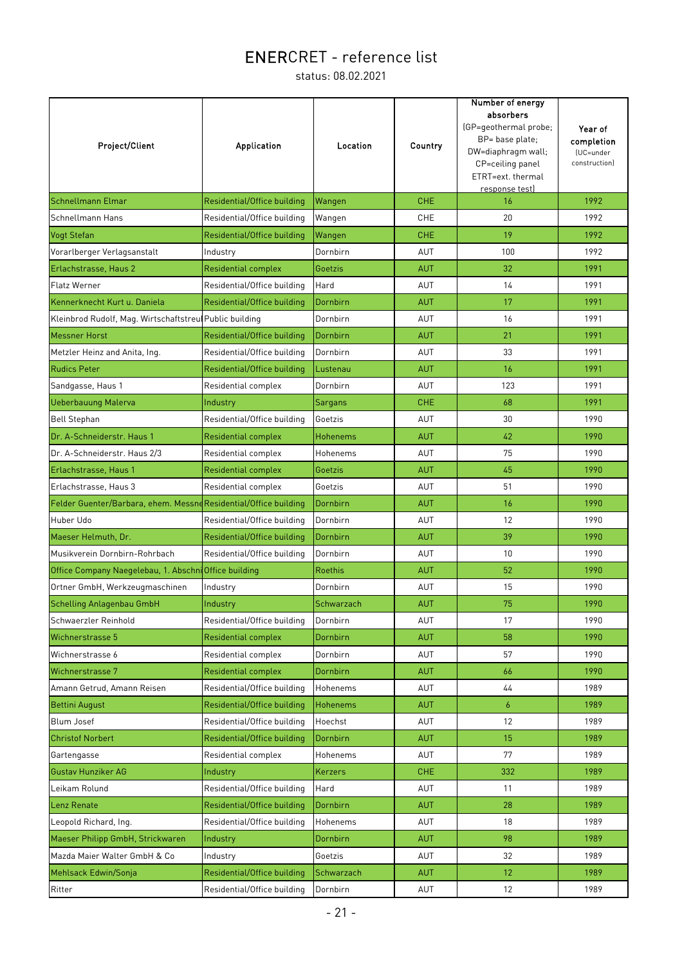| Project/Client                                                   | Application                 | Location        | Country    | Number of energy<br>absorbers<br>(GP=geothermal probe;<br>BP= base plate;<br>DW=diaphragm wall;<br>CP=ceiling panel<br>ETRT=ext. thermal<br>response test) | Year of<br>completion<br>(UC=under<br>construction) |
|------------------------------------------------------------------|-----------------------------|-----------------|------------|------------------------------------------------------------------------------------------------------------------------------------------------------------|-----------------------------------------------------|
| <b>Schnellmann Elmar</b>                                         | Residential/Office building | Wangen          | <b>CHE</b> | 16                                                                                                                                                         | 1992                                                |
| <b>Schnellmann Hans</b>                                          | Residential/Office building | Wangen          | <b>CHE</b> | 20                                                                                                                                                         | 1992                                                |
| Vogt Stefan                                                      | Residential/Office building | Wangen          | <b>CHE</b> | 19                                                                                                                                                         | 1992                                                |
| Vorarlberger Verlagsanstalt                                      | Industry                    | Dornbirn        | AUT        | 100                                                                                                                                                        | 1992                                                |
| Erlachstrasse, Haus 2                                            | <b>Residential complex</b>  | Goetzis         | <b>AUT</b> | 32                                                                                                                                                         | 1991                                                |
| <b>Flatz Werner</b>                                              | Residential/Office building | Hard            | <b>AUT</b> | 14                                                                                                                                                         | 1991                                                |
| Kennerknecht Kurt u. Daniela                                     | Residential/Office building | Dornbirn        | <b>AUT</b> | 17                                                                                                                                                         | 1991                                                |
| Kleinbrod Rudolf, Mag. Wirtschaftstreu Public building           |                             | Dornbirn        | AUT        | 16                                                                                                                                                         | 1991                                                |
| <b>Messner Horst</b>                                             | Residential/Office building | Dornbirn        | <b>AUT</b> | 21                                                                                                                                                         | 1991                                                |
| Metzler Heinz and Anita, Ing.                                    | Residential/Office building | Dornbirn        | AUT        | 33                                                                                                                                                         | 1991                                                |
| <b>Rudics Peter</b>                                              | Residential/Office building | Lustenau        | <b>AUT</b> | 16                                                                                                                                                         | 1991                                                |
| Sandgasse, Haus 1                                                | Residential complex         | Dornbirn        | AUT        | 123                                                                                                                                                        | 1991                                                |
| <b>Ueberbauung Malerva</b>                                       | Industry                    | <b>Sargans</b>  | <b>CHE</b> | 68                                                                                                                                                         | 1991                                                |
| <b>Bell Stephan</b>                                              | Residential/Office building | Goetzis         | AUT        | 30                                                                                                                                                         | 1990                                                |
| Dr. A-Schneiderstr. Haus 1                                       | <b>Residential complex</b>  | <b>Hohenems</b> | <b>AUT</b> | 42                                                                                                                                                         | 1990                                                |
| Dr. A-Schneiderstr. Haus 2/3                                     | Residential complex         | Hohenems        | AUT        | 75                                                                                                                                                         | 1990                                                |
| Erlachstrasse, Haus 1                                            | Residential complex         | Goetzis         | <b>AUT</b> | 45                                                                                                                                                         | 1990                                                |
| Erlachstrasse, Haus 3                                            | Residential complex         | Goetzis         | AUT        | 51                                                                                                                                                         | 1990                                                |
| Felder Guenter/Barbara, ehem. Messne Residential/Office building |                             | Dornbirn        | <b>AUT</b> | 16                                                                                                                                                         | 1990                                                |
| Huber Udo                                                        | Residential/Office building | Dornbirn        | AUT        | 12                                                                                                                                                         | 1990                                                |
| Maeser Helmuth, Dr.                                              | Residential/Office building | Dornbirn        | <b>AUT</b> | 39                                                                                                                                                         | 1990                                                |
| Musikverein Dornbirn-Rohrbach                                    | Residential/Office building | Dornbirn        | AUT        | 10                                                                                                                                                         | 1990                                                |
| Office Company Naegelebau, 1. Abschni Office building            |                             | <b>Roethis</b>  | <b>AUT</b> | 52                                                                                                                                                         | 1990                                                |
| Ortner GmbH, Werkzeugmaschinen                                   | Industry                    | Dornbirn        | AUT        | 15                                                                                                                                                         | 1990                                                |
| <b>Schelling Anlagenbau GmbH</b>                                 | Industry                    | Schwarzach      | <b>AUT</b> | 75                                                                                                                                                         | 1990                                                |
| Schwaerzler Reinhold                                             | Residential/Office building | Dornbirn        | AUT        | 17                                                                                                                                                         | 1990                                                |
| Wichnerstrasse 5                                                 | <b>Residential complex</b>  | Dornbirn        | <b>AUT</b> | 58                                                                                                                                                         | 1990                                                |
| Wichnerstrasse 6                                                 | Residential complex         | Dornbirn        | <b>AUT</b> | 57                                                                                                                                                         | 1990                                                |
| Wichnerstrasse 7                                                 | <b>Residential complex</b>  | Dornbirn        | <b>AUT</b> | 66                                                                                                                                                         | 1990                                                |
| Amann Getrud, Amann Reisen                                       | Residential/Office building | Hohenems        | AUT        | 44                                                                                                                                                         | 1989                                                |
| <b>Bettini August</b>                                            | Residential/Office building | Hohenems        | <b>AUT</b> | 6                                                                                                                                                          | 1989                                                |
| Blum Josef                                                       | Residential/Office building | Hoechst         | AUT        | 12                                                                                                                                                         | 1989                                                |
| <b>Christof Norbert</b>                                          | Residential/Office building | Dornbirn        | <b>AUT</b> | 15                                                                                                                                                         | 1989                                                |
| Gartengasse                                                      | Residential complex         | Hohenems        | <b>AUT</b> | 77                                                                                                                                                         | 1989                                                |
| Gustav Hunziker AG                                               | Industry                    | Kerzers         | <b>CHE</b> | 332                                                                                                                                                        | 1989                                                |
| Leikam Rolund                                                    | Residential/Office building | Hard            | <b>AUT</b> | 11                                                                                                                                                         | 1989                                                |
| Lenz Renate                                                      | Residential/Office building | Dornbirn        | <b>AUT</b> | 28                                                                                                                                                         | 1989                                                |
| Leopold Richard, Ing.                                            | Residential/Office building | Hohenems        | <b>AUT</b> | 18                                                                                                                                                         | 1989                                                |
| Maeser Philipp GmbH, Strickwaren                                 | Industry                    | Dornbirn        | <b>AUT</b> | 98                                                                                                                                                         | 1989                                                |
| Mazda Maier Walter GmbH & Co                                     | Industry                    | Goetzis         | AUT        | 32                                                                                                                                                         | 1989                                                |
| Mehlsack Edwin/Sonja                                             | Residential/Office building | Schwarzach      | <b>AUT</b> | 12                                                                                                                                                         | 1989                                                |
| Ritter                                                           | Residential/Office building | Dornbirn        | AUT        | 12                                                                                                                                                         | 1989                                                |